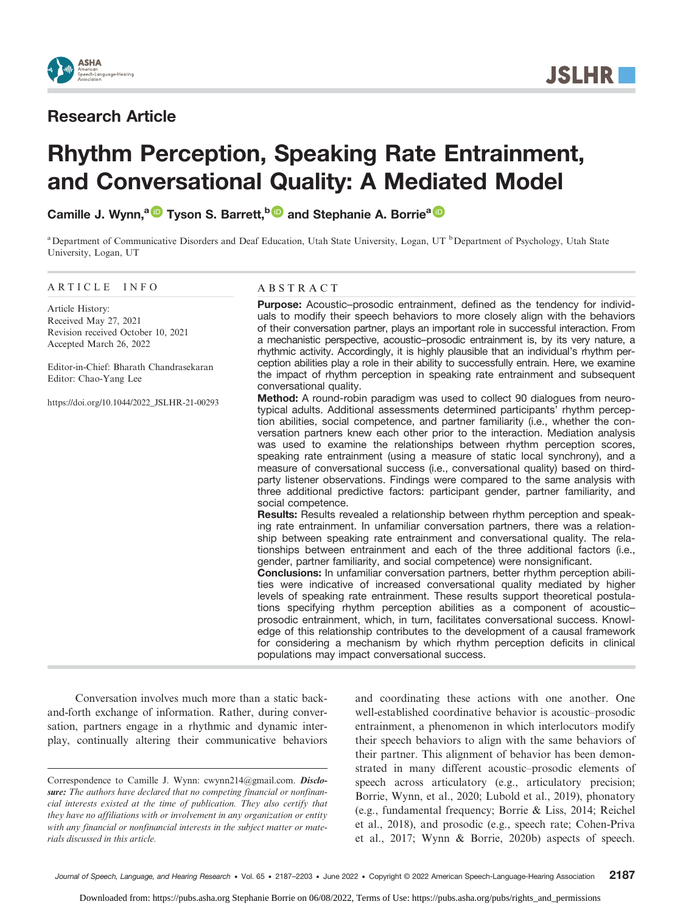

**JSLHR** 

# Research Article

# Rhythm Perception, Speaking Rate Entrainment, and Conversational Quality: A Mediated Model

Camille J. Wynn,<sup>a D</sup> Tyson S. Barrett,<sup>b D</sup> and Stephanie A. Borrie<sup>a D</sup>

<sup>a</sup>Department of Communicative Disorders and Deaf Education, Utah State University, Logan, UT <sup>b</sup>Department of Psychology, Utah State University, Logan, UT

#### ARTICLE INFO

Article History: Received May 27, 2021 Revision received October 10, 2021 Accepted March 26, 2022

Editor-in-Chief: Bharath Chandrasekaran Editor: Chao-Yang Lee

[https://doi.org/10.1044/2022\\_JSLHR-21-00293](https://doi.org/10.1044/2022_JSLHR-21-00293)

#### ABSTRACT

Purpose: Acoustic–prosodic entrainment, defined as the tendency for individuals to modify their speech behaviors to more closely align with the behaviors of their conversation partner, plays an important role in successful interaction. From a mechanistic perspective, acoustic–prosodic entrainment is, by its very nature, a rhythmic activity. Accordingly, it is highly plausible that an individual's rhythm perception abilities play a role in their ability to successfully entrain. Here, we examine the impact of rhythm perception in speaking rate entrainment and subsequent conversational quality.

Method: A round-robin paradigm was used to collect 90 dialogues from neurotypical adults. Additional assessments determined participants' rhythm perception abilities, social competence, and partner familiarity (i.e., whether the conversation partners knew each other prior to the interaction. Mediation analysis was used to examine the relationships between rhythm perception scores, speaking rate entrainment (using a measure of static local synchrony), and a measure of conversational success (i.e., conversational quality) based on thirdparty listener observations. Findings were compared to the same analysis with three additional predictive factors: participant gender, partner familiarity, and social competence.

Results: Results revealed a relationship between rhythm perception and speaking rate entrainment. In unfamiliar conversation partners, there was a relationship between speaking rate entrainment and conversational quality. The relationships between entrainment and each of the three additional factors (i.e., gender, partner familiarity, and social competence) were nonsignificant.

Conclusions: In unfamiliar conversation partners, better rhythm perception abilities were indicative of increased conversational quality mediated by higher levels of speaking rate entrainment. These results support theoretical postulations specifying rhythm perception abilities as a component of acoustic– prosodic entrainment, which, in turn, facilitates conversational success. Knowledge of this relationship contributes to the development of a causal framework for considering a mechanism by which rhythm perception deficits in clinical populations may impact conversational success.

Conversation involves much more than a static backand-forth exchange of information. Rather, during conversation, partners engage in a rhythmic and dynamic interplay, continually altering their communicative behaviors and coordinating these actions with one another. One well-established coordinative behavior is acoustic–prosodic entrainment, a phenomenon in which interlocutors modify their speech behaviors to align with the same behaviors of their partner. This alignment of behavior has been demonstrated in many different acoustic–prosodic elements of speech across articulatory (e.g., articulatory precision; Borrie, Wynn, et al., 2020; Lubold et al., 2019), phonatory (e.g., fundamental frequency; Borrie & Liss, 2014; Reichel et al., 2018), and prosodic (e.g., speech rate; Cohen-Priva et al., 2017; Wynn & Borrie, 2020b) aspects of speech.

Correspondence to Camille J. Wynn: cwynn214@gmail.com. Disclosure: The authors have declared that no competing financial or nonfinancial interests existed at the time of publication. They also certify that they have no affiliations with or involvement in any organization or entity with any financial or nonfinancial interests in the subject matter or materials discussed in this article.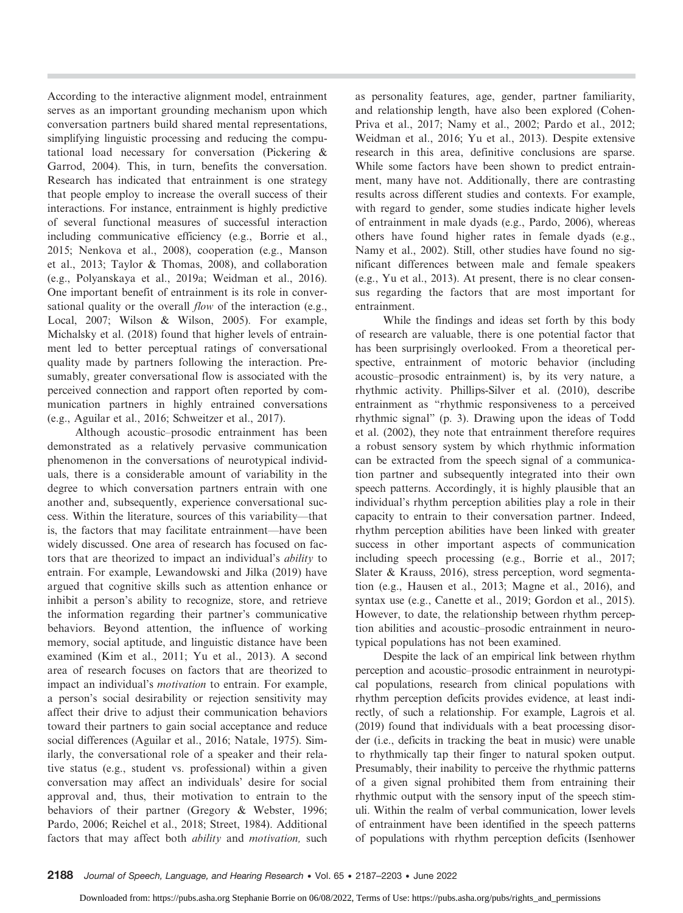According to the interactive alignment model, entrainment serves as an important grounding mechanism upon which conversation partners build shared mental representations, simplifying linguistic processing and reducing the computational load necessary for conversation (Pickering & Garrod, 2004). This, in turn, benefits the conversation. Research has indicated that entrainment is one strategy that people employ to increase the overall success of their interactions. For instance, entrainment is highly predictive of several functional measures of successful interaction including communicative efficiency (e.g., Borrie et al., 2015; Nenkova et al., 2008), cooperation (e.g., Manson et al., 2013; Taylor & Thomas, 2008), and collaboration (e.g., Polyanskaya et al., 2019a; Weidman et al., 2016). One important benefit of entrainment is its role in conversational quality or the overall *flow* of the interaction (e.g., Local, 2007; Wilson & Wilson, 2005). For example, Michalsky et al. (2018) found that higher levels of entrainment led to better perceptual ratings of conversational quality made by partners following the interaction. Presumably, greater conversational flow is associated with the perceived connection and rapport often reported by communication partners in highly entrained conversations (e.g., Aguilar et al., 2016; Schweitzer et al., 2017).

Although acoustic–prosodic entrainment has been demonstrated as a relatively pervasive communication phenomenon in the conversations of neurotypical individuals, there is a considerable amount of variability in the degree to which conversation partners entrain with one another and, subsequently, experience conversational success. Within the literature, sources of this variability—that is, the factors that may facilitate entrainment—have been widely discussed. One area of research has focused on factors that are theorized to impact an individual's *ability* to entrain. For example, Lewandowski and Jilka (2019) have argued that cognitive skills such as attention enhance or inhibit a person's ability to recognize, store, and retrieve the information regarding their partner's communicative behaviors. Beyond attention, the influence of working memory, social aptitude, and linguistic distance have been examined (Kim et al., 2011; Yu et al., 2013). A second area of research focuses on factors that are theorized to impact an individual's *motivation* to entrain. For example, a person's social desirability or rejection sensitivity may affect their drive to adjust their communication behaviors toward their partners to gain social acceptance and reduce social differences (Aguilar et al., 2016; Natale, 1975). Similarly, the conversational role of a speaker and their relative status (e.g., student vs. professional) within a given conversation may affect an individuals' desire for social approval and, thus, their motivation to entrain to the behaviors of their partner (Gregory & Webster, 1996; Pardo, 2006; Reichel et al., 2018; Street, 1984). Additional factors that may affect both *ability* and *motivation*, such

as personality features, age, gender, partner familiarity, and relationship length, have also been explored (Cohen-Priva et al., 2017; Namy et al., 2002; Pardo et al., 2012; Weidman et al., 2016; Yu et al., 2013). Despite extensive research in this area, definitive conclusions are sparse. While some factors have been shown to predict entrainment, many have not. Additionally, there are contrasting results across different studies and contexts. For example, with regard to gender, some studies indicate higher levels of entrainment in male dyads (e.g., Pardo, 2006), whereas others have found higher rates in female dyads (e.g., Namy et al., 2002). Still, other studies have found no significant differences between male and female speakers (e.g., Yu et al., 2013). At present, there is no clear consensus regarding the factors that are most important for entrainment.

While the findings and ideas set forth by this body of research are valuable, there is one potential factor that has been surprisingly overlooked. From a theoretical perspective, entrainment of motoric behavior (including acoustic–prosodic entrainment) is, by its very nature, a rhythmic activity. Phillips-Silver et al. (2010), describe entrainment as "rhythmic responsiveness to a perceived rhythmic signal" (p. 3). Drawing upon the ideas of Todd et al. (2002), they note that entrainment therefore requires a robust sensory system by which rhythmic information can be extracted from the speech signal of a communication partner and subsequently integrated into their own speech patterns. Accordingly, it is highly plausible that an individual's rhythm perception abilities play a role in their capacity to entrain to their conversation partner. Indeed, rhythm perception abilities have been linked with greater success in other important aspects of communication including speech processing (e.g., Borrie et al., 2017; Slater & Krauss, 2016), stress perception, word segmentation (e.g., Hausen et al., 2013; Magne et al., 2016), and syntax use (e.g., Canette et al., 2019; Gordon et al., 2015). However, to date, the relationship between rhythm perception abilities and acoustic–prosodic entrainment in neurotypical populations has not been examined.

Despite the lack of an empirical link between rhythm perception and acoustic–prosodic entrainment in neurotypical populations, research from clinical populations with rhythm perception deficits provides evidence, at least indirectly, of such a relationship. For example, Lagrois et al. (2019) found that individuals with a beat processing disorder (i.e., deficits in tracking the beat in music) were unable to rhythmically tap their finger to natural spoken output. Presumably, their inability to perceive the rhythmic patterns of a given signal prohibited them from entraining their rhythmic output with the sensory input of the speech stimuli. Within the realm of verbal communication, lower levels of entrainment have been identified in the speech patterns of populations with rhythm perception deficits (Isenhower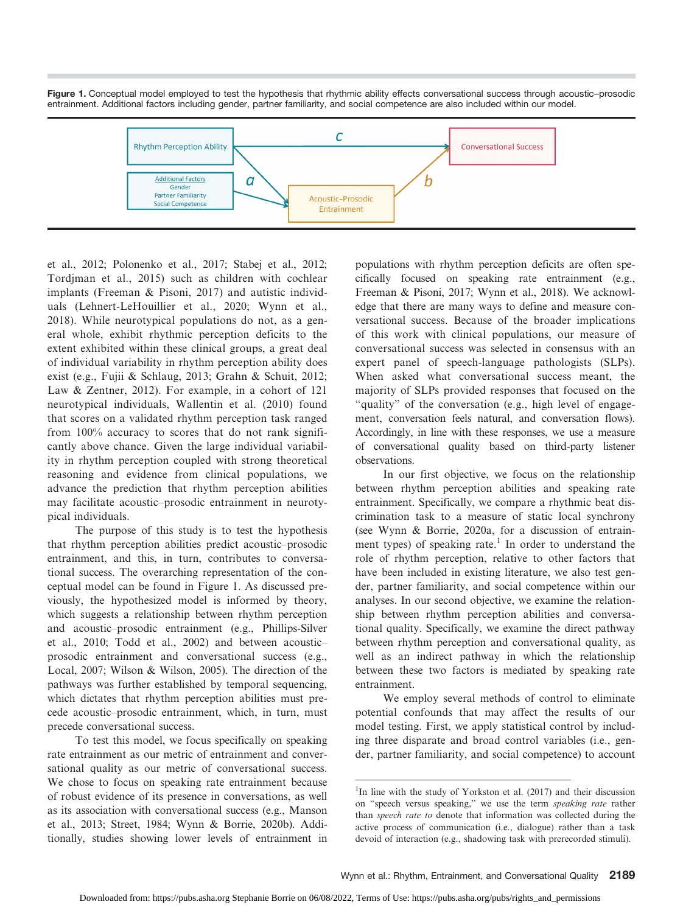Figure 1. Conceptual model employed to test the hypothesis that rhythmic ability effects conversational success through acoustic–prosodic entrainment. Additional factors including gender, partner familiarity, and social competence are also included within our model.



et al., 2012; Polonenko et al., 2017; Stabej et al., 2012; Tordjman et al., 2015) such as children with cochlear implants (Freeman & Pisoni, 2017) and autistic individuals (Lehnert-LeHouillier et al., 2020; Wynn et al., 2018). While neurotypical populations do not, as a general whole, exhibit rhythmic perception deficits to the extent exhibited within these clinical groups, a great deal of individual variability in rhythm perception ability does exist (e.g., Fujii & Schlaug, 2013; Grahn & Schuit, 2012; Law & Zentner, 2012). For example, in a cohort of 121 neurotypical individuals, Wallentin et al. (2010) found that scores on a validated rhythm perception task ranged from 100% accuracy to scores that do not rank significantly above chance. Given the large individual variability in rhythm perception coupled with strong theoretical reasoning and evidence from clinical populations, we advance the prediction that rhythm perception abilities may facilitate acoustic–prosodic entrainment in neurotypical individuals.

The purpose of this study is to test the hypothesis that rhythm perception abilities predict acoustic–prosodic entrainment, and this, in turn, contributes to conversational success. The overarching representation of the conceptual model can be found in Figure 1. As discussed previously, the hypothesized model is informed by theory, which suggests a relationship between rhythm perception and acoustic–prosodic entrainment (e.g., Phillips-Silver et al., 2010; Todd et al., 2002) and between acoustic– prosodic entrainment and conversational success (e.g., Local, 2007; Wilson & Wilson, 2005). The direction of the pathways was further established by temporal sequencing, which dictates that rhythm perception abilities must precede acoustic–prosodic entrainment, which, in turn, must precede conversational success.

To test this model, we focus specifically on speaking rate entrainment as our metric of entrainment and conversational quality as our metric of conversational success. We chose to focus on speaking rate entrainment because of robust evidence of its presence in conversations, as well as its association with conversational success (e.g., Manson et al., 2013; Street, 1984; Wynn & Borrie, 2020b). Additionally, studies showing lower levels of entrainment in

populations with rhythm perception deficits are often specifically focused on speaking rate entrainment (e.g., Freeman & Pisoni, 2017; Wynn et al., 2018). We acknowledge that there are many ways to define and measure conversational success. Because of the broader implications of this work with clinical populations, our measure of conversational success was selected in consensus with an expert panel of speech-language pathologists (SLPs). When asked what conversational success meant, the majority of SLPs provided responses that focused on the "quality" of the conversation (e.g., high level of engagement, conversation feels natural, and conversation flows). Accordingly, in line with these responses, we use a measure of conversational quality based on third-party listener observations.

In our first objective, we focus on the relationship between rhythm perception abilities and speaking rate entrainment. Specifically, we compare a rhythmic beat discrimination task to a measure of static local synchrony (see Wynn & Borrie, 2020a, for a discussion of entrainment types) of speaking rate.<sup>1</sup> In order to understand the role of rhythm perception, relative to other factors that have been included in existing literature, we also test gender, partner familiarity, and social competence within our analyses. In our second objective, we examine the relationship between rhythm perception abilities and conversational quality. Specifically, we examine the direct pathway between rhythm perception and conversational quality, as well as an indirect pathway in which the relationship between these two factors is mediated by speaking rate entrainment.

We employ several methods of control to eliminate potential confounds that may affect the results of our model testing. First, we apply statistical control by including three disparate and broad control variables (i.e., gender, partner familiarity, and social competence) to account

<sup>&</sup>lt;sup>1</sup>In line with the study of Yorkston et al. (2017) and their discussion on "speech versus speaking," we use the term speaking rate rather than speech rate to denote that information was collected during the active process of communication (i.e., dialogue) rather than a task devoid of interaction (e.g., shadowing task with prerecorded stimuli).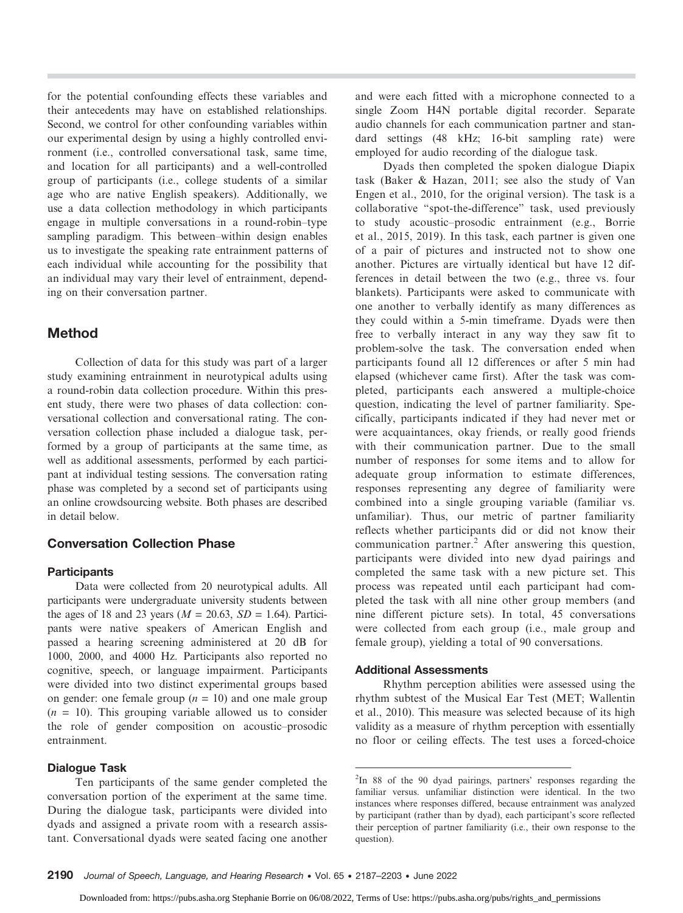for the potential confounding effects these variables and their antecedents may have on established relationships. Second, we control for other confounding variables within our experimental design by using a highly controlled environment (i.e., controlled conversational task, same time, and location for all participants) and a well-controlled group of participants (i.e., college students of a similar age who are native English speakers). Additionally, we use a data collection methodology in which participants engage in multiple conversations in a round-robin–type sampling paradigm. This between–within design enables us to investigate the speaking rate entrainment patterns of each individual while accounting for the possibility that an individual may vary their level of entrainment, depending on their conversation partner.

# Method

Collection of data for this study was part of a larger study examining entrainment in neurotypical adults using a round-robin data collection procedure. Within this present study, there were two phases of data collection: conversational collection and conversational rating. The conversation collection phase included a dialogue task, performed by a group of participants at the same time, as well as additional assessments, performed by each participant at individual testing sessions. The conversation rating phase was completed by a second set of participants using an online crowdsourcing website. Both phases are described in detail below.

# Conversation Collection Phase

#### **Participants**

Data were collected from 20 neurotypical adults. All participants were undergraduate university students between the ages of 18 and 23 years ( $M = 20.63$ ,  $SD = 1.64$ ). Participants were native speakers of American English and passed a hearing screening administered at 20 dB for 1000, 2000, and 4000 Hz. Participants also reported no cognitive, speech, or language impairment. Participants were divided into two distinct experimental groups based on gender: one female group  $(n = 10)$  and one male group  $(n = 10)$ . This grouping variable allowed us to consider the role of gender composition on acoustic–prosodic entrainment.

#### Dialogue Task

Ten participants of the same gender completed the conversation portion of the experiment at the same time. During the dialogue task, participants were divided into dyads and assigned a private room with a research assistant. Conversational dyads were seated facing one another and were each fitted with a microphone connected to a single Zoom H4N portable digital recorder. Separate audio channels for each communication partner and standard settings (48 kHz; 16-bit sampling rate) were employed for audio recording of the dialogue task.

Dyads then completed the spoken dialogue Diapix task (Baker & Hazan, 2011; see also the study of Van Engen et al., 2010, for the original version). The task is a collaborative "spot-the-difference" task, used previously to study acoustic–prosodic entrainment (e.g., Borrie et al., 2015, 2019). In this task, each partner is given one of a pair of pictures and instructed not to show one another. Pictures are virtually identical but have 12 differences in detail between the two (e.g., three vs. four blankets). Participants were asked to communicate with one another to verbally identify as many differences as they could within a 5-min timeframe. Dyads were then free to verbally interact in any way they saw fit to problem-solve the task. The conversation ended when participants found all 12 differences or after 5 min had elapsed (whichever came first). After the task was completed, participants each answered a multiple-choice question, indicating the level of partner familiarity. Specifically, participants indicated if they had never met or were acquaintances, okay friends, or really good friends with their communication partner. Due to the small number of responses for some items and to allow for adequate group information to estimate differences, responses representing any degree of familiarity were combined into a single grouping variable (familiar vs. unfamiliar). Thus, our metric of partner familiarity reflects whether participants did or did not know their communication partner.<sup>2</sup> After answering this question, participants were divided into new dyad pairings and completed the same task with a new picture set. This process was repeated until each participant had completed the task with all nine other group members (and nine different picture sets). In total, 45 conversations were collected from each group (i.e., male group and female group), yielding a total of 90 conversations.

#### Additional Assessments

Rhythm perception abilities were assessed using the rhythm subtest of the Musical Ear Test (MET; Wallentin et al., 2010). This measure was selected because of its high validity as a measure of rhythm perception with essentially no floor or ceiling effects. The test uses a forced-choice

<sup>2</sup> In 88 of the 90 dyad pairings, partners' responses regarding the familiar versus. unfamiliar distinction were identical. In the two instances where responses differed, because entrainment was analyzed by participant (rather than by dyad), each participant's score reflected their perception of partner familiarity (i.e., their own response to the question).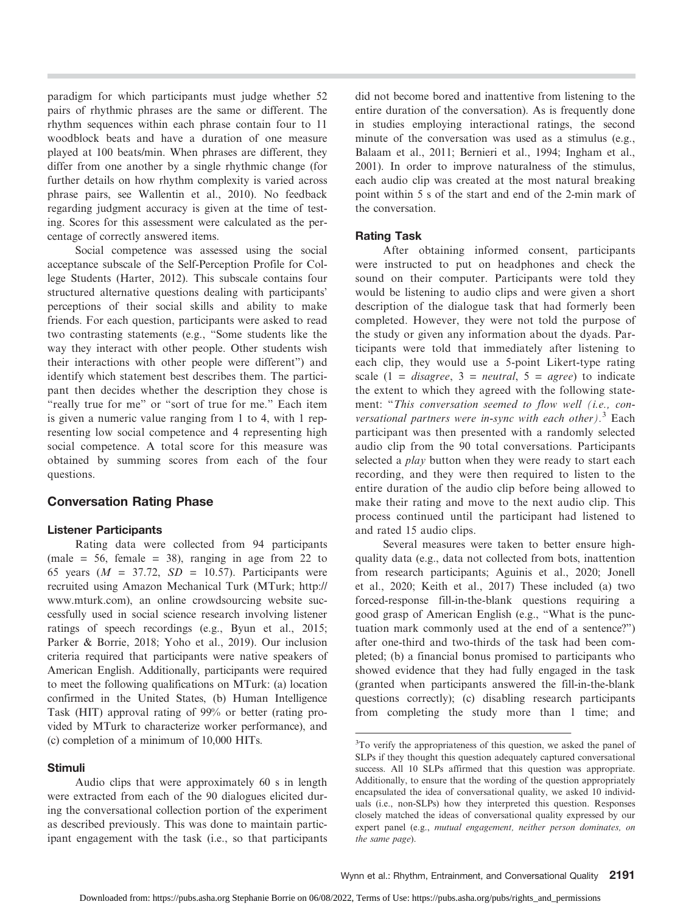paradigm for which participants must judge whether 52 pairs of rhythmic phrases are the same or different. The rhythm sequences within each phrase contain four to 11 woodblock beats and have a duration of one measure played at 100 beats/min. When phrases are different, they differ from one another by a single rhythmic change (for further details on how rhythm complexity is varied across phrase pairs, see Wallentin et al., 2010). No feedback regarding judgment accuracy is given at the time of testing. Scores for this assessment were calculated as the percentage of correctly answered items.

Social competence was assessed using the social acceptance subscale of the Self-Perception Profile for College Students (Harter, 2012). This subscale contains four structured alternative questions dealing with participants' perceptions of their social skills and ability to make friends. For each question, participants were asked to read two contrasting statements (e.g., "Some students like the way they interact with other people. Other students wish their interactions with other people were different") and identify which statement best describes them. The participant then decides whether the description they chose is "really true for me" or "sort of true for me." Each item is given a numeric value ranging from 1 to 4, with 1 representing low social competence and 4 representing high social competence. A total score for this measure was obtained by summing scores from each of the four questions.

## Conversation Rating Phase

#### Listener Participants

Rating data were collected from 94 participants (male = 56, female = 38), ranging in age from 22 to 65 years ( $M = 37.72$ ,  $SD = 10.57$ ). Participants were recruited using Amazon Mechanical Turk (MTurk; [http://](http://www.mturk.com) [www.mturk.com](http://www.mturk.com)), an online crowdsourcing website successfully used in social science research involving listener ratings of speech recordings (e.g., Byun et al., 2015; Parker & Borrie, 2018; Yoho et al., 2019). Our inclusion criteria required that participants were native speakers of American English. Additionally, participants were required to meet the following qualifications on MTurk: (a) location confirmed in the United States, (b) Human Intelligence Task (HIT) approval rating of 99% or better (rating provided by MTurk to characterize worker performance), and (c) completion of a minimum of 10,000 HITs.

## Stimuli

Audio clips that were approximately 60 s in length were extracted from each of the 90 dialogues elicited during the conversational collection portion of the experiment as described previously. This was done to maintain participant engagement with the task (i.e., so that participants did not become bored and inattentive from listening to the entire duration of the conversation). As is frequently done in studies employing interactional ratings, the second minute of the conversation was used as a stimulus (e.g., Balaam et al., 2011; Bernieri et al., 1994; Ingham et al., 2001). In order to improve naturalness of the stimulus, each audio clip was created at the most natural breaking point within 5 s of the start and end of the 2-min mark of the conversation.

## Rating Task

After obtaining informed consent, participants were instructed to put on headphones and check the sound on their computer. Participants were told they would be listening to audio clips and were given a short description of the dialogue task that had formerly been completed. However, they were not told the purpose of the study or given any information about the dyads. Participants were told that immediately after listening to each clip, they would use a 5-point Likert-type rating scale  $(1 = disagree, 3 = neutral, 5 = agree)$  to indicate the extent to which they agreed with the following statement: "This conversation seemed to flow well (i.e., conversational partners were in-sync with each other).<sup>3</sup> Each participant was then presented with a randomly selected audio clip from the 90 total conversations. Participants selected a *play* button when they were ready to start each recording, and they were then required to listen to the entire duration of the audio clip before being allowed to make their rating and move to the next audio clip. This process continued until the participant had listened to and rated 15 audio clips.

Several measures were taken to better ensure highquality data (e.g., data not collected from bots, inattention from research participants; Aguinis et al., 2020; Jonell et al., 2020; Keith et al., 2017) These included (a) two forced-response fill-in-the-blank questions requiring a good grasp of American English (e.g., "What is the punctuation mark commonly used at the end of a sentence?") after one-third and two-thirds of the task had been completed; (b) a financial bonus promised to participants who showed evidence that they had fully engaged in the task (granted when participants answered the fill-in-the-blank questions correctly); (c) disabling research participants from completing the study more than 1 time; and

<sup>&</sup>lt;sup>3</sup>To verify the appropriateness of this question, we asked the panel of SLPs if they thought this question adequately captured conversational success. All 10 SLPs affirmed that this question was appropriate. Additionally, to ensure that the wording of the question appropriately encapsulated the idea of conversational quality, we asked 10 individuals (i.e., non-SLPs) how they interpreted this question. Responses closely matched the ideas of conversational quality expressed by our expert panel (e.g., mutual engagement, neither person dominates, on the same page).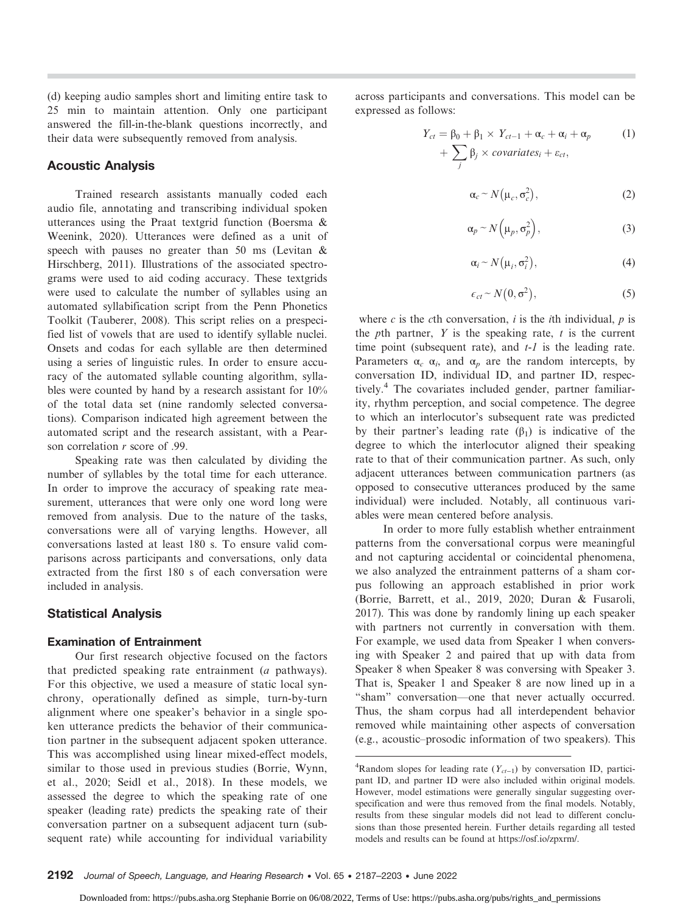(d) keeping audio samples short and limiting entire task to 25 min to maintain attention. Only one participant answered the fill-in-the-blank questions incorrectly, and their data were subsequently removed from analysis.

## Acoustic Analysis

Trained research assistants manually coded each audio file, annotating and transcribing individual spoken utterances using the Praat textgrid function (Boersma & Weenink, 2020). Utterances were defined as a unit of speech with pauses no greater than 50 ms (Levitan & Hirschberg, 2011). Illustrations of the associated spectrograms were used to aid coding accuracy. These textgrids were used to calculate the number of syllables using an automated syllabification script from the Penn Phonetics Toolkit (Tauberer, 2008). This script relies on a prespecified list of vowels that are used to identify syllable nuclei. Onsets and codas for each syllable are then determined using a series of linguistic rules. In order to ensure accuracy of the automated syllable counting algorithm, syllables were counted by hand by a research assistant for 10% of the total data set (nine randomly selected conversations). Comparison indicated high agreement between the automated script and the research assistant, with a Pearson correlation r score of .99.

Speaking rate was then calculated by dividing the number of syllables by the total time for each utterance. In order to improve the accuracy of speaking rate measurement, utterances that were only one word long were removed from analysis. Due to the nature of the tasks, conversations were all of varying lengths. However, all conversations lasted at least 180 s. To ensure valid comparisons across participants and conversations, only data extracted from the first 180 s of each conversation were included in analysis.

## Statistical Analysis

#### Examination of Entrainment

Our first research objective focused on the factors that predicted speaking rate entrainment (a pathways). For this objective, we used a measure of static local synchrony, operationally defined as simple, turn-by-turn alignment where one speaker's behavior in a single spoken utterance predicts the behavior of their communication partner in the subsequent adjacent spoken utterance. This was accomplished using linear mixed-effect models, similar to those used in previous studies (Borrie, Wynn, et al., 2020; Seidl et al., 2018). In these models, we assessed the degree to which the speaking rate of one speaker (leading rate) predicts the speaking rate of their conversation partner on a subsequent adjacent turn (subsequent rate) while accounting for individual variability

across participants and conversations. This model can be expressed as follows:

$$
Y_{ct} = \beta_0 + \beta_1 \times Y_{ct-1} + \alpha_c + \alpha_i + \alpha_p
$$
  
+ 
$$
\sum_j \beta_j \times covariates_i + \varepsilon_{ct},
$$
 (1)

$$
\alpha_c \sim N(\mu_c, \sigma_c^2),\tag{2}
$$

$$
\alpha_p \sim N\left(\mu_p, \sigma_p^2\right),\tag{3}
$$

$$
\alpha_i \sim N(\mu_i, \sigma_i^2), \tag{4}
$$

$$
\epsilon_{ct} \sim N(0, \sigma^2), \tag{5}
$$

where c is the cth conversation, i is the *i*th individual,  $p$  is the pth partner,  $Y$  is the speaking rate,  $t$  is the current time point (subsequent rate), and  $t-1$  is the leading rate. Parameters  $\alpha_c$   $\alpha_i$ , and  $\alpha_p$  are the random intercepts, by conversation ID, individual ID, and partner ID, respectively.4 The covariates included gender, partner familiarity, rhythm perception, and social competence. The degree to which an interlocutor's subsequent rate was predicted by their partner's leading rate  $(\beta_1)$  is indicative of the degree to which the interlocutor aligned their speaking rate to that of their communication partner. As such, only adjacent utterances between communication partners (as opposed to consecutive utterances produced by the same individual) were included. Notably, all continuous variables were mean centered before analysis.

In order to more fully establish whether entrainment patterns from the conversational corpus were meaningful and not capturing accidental or coincidental phenomena, we also analyzed the entrainment patterns of a sham corpus following an approach established in prior work (Borrie, Barrett, et al., 2019, 2020; Duran & Fusaroli, 2017). This was done by randomly lining up each speaker with partners not currently in conversation with them. For example, we used data from Speaker 1 when conversing with Speaker 2 and paired that up with data from Speaker 8 when Speaker 8 was conversing with Speaker 3. That is, Speaker 1 and Speaker 8 are now lined up in a "sham" conversation—one that never actually occurred. Thus, the sham corpus had all interdependent behavior removed while maintaining other aspects of conversation (e.g., acoustic–prosodic information of two speakers). This

<sup>&</sup>lt;sup>4</sup>Random slopes for leading rate ( $Y_{ct-1}$ ) by conversation ID, participant ID, and partner ID were also included within original models. However, model estimations were generally singular suggesting overspecification and were thus removed from the final models. Notably, results from these singular models did not lead to different conclusions than those presented herein. Further details regarding all tested models and results can be found at [https://osf.io/zpxrm/.](https://osf.io/zpxrm/)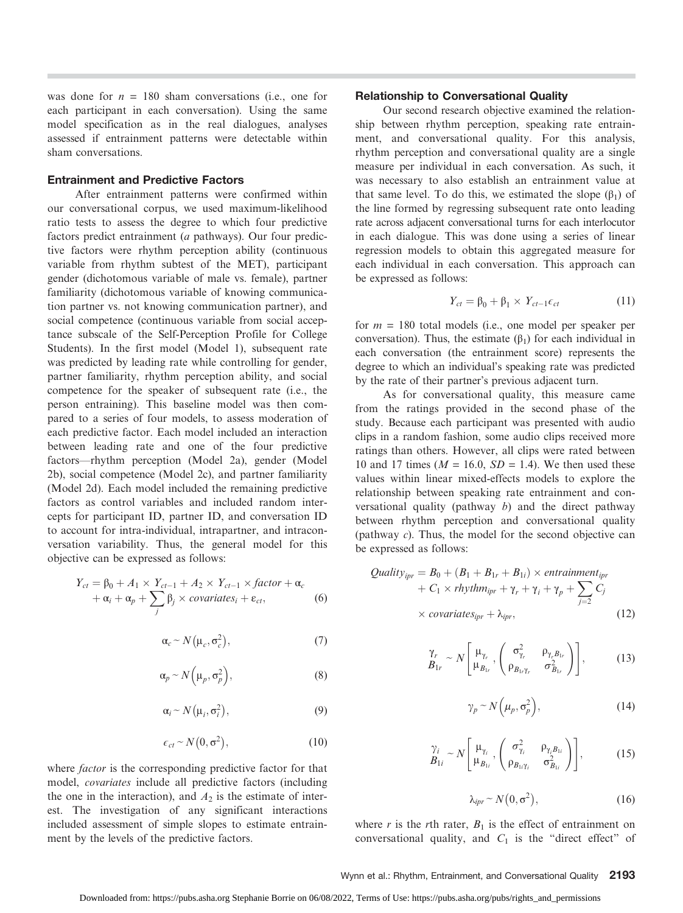was done for  $n = 180$  sham conversations (i.e., one for each participant in each conversation). Using the same model specification as in the real dialogues, analyses assessed if entrainment patterns were detectable within sham conversations.

## Entrainment and Predictive Factors

After entrainment patterns were confirmed within our conversational corpus, we used maximum-likelihood ratio tests to assess the degree to which four predictive factors predict entrainment (a pathways). Our four predictive factors were rhythm perception ability (continuous variable from rhythm subtest of the MET), participant gender (dichotomous variable of male vs. female), partner familiarity (dichotomous variable of knowing communication partner vs. not knowing communication partner), and social competence (continuous variable from social acceptance subscale of the Self-Perception Profile for College Students). In the first model (Model 1), subsequent rate was predicted by leading rate while controlling for gender, partner familiarity, rhythm perception ability, and social competence for the speaker of subsequent rate (i.e., the person entraining). This baseline model was then compared to a series of four models, to assess moderation of each predictive factor. Each model included an interaction between leading rate and one of the four predictive factors—rhythm perception (Model 2a), gender (Model 2b), social competence (Model 2c), and partner familiarity (Model 2d). Each model included the remaining predictive factors as control variables and included random intercepts for participant ID, partner ID, and conversation ID to account for intra-individual, intrapartner, and intraconversation variability. Thus, the general model for this objective can be expressed as follows:

$$
Y_{ct} = \beta_0 + A_1 \times Y_{ct-1} + A_2 \times Y_{ct-1} \times factor + \alpha_c + \alpha_i + \alpha_p + \sum_j \beta_j \times covariates_i + \varepsilon_{ct},
$$
 (6)

$$
\alpha_c \sim N(\mu_c, \sigma_c^2),\tag{7}
$$

$$
\alpha_p \sim N\left(\mu_p, \sigma_p^2\right),\tag{8}
$$

$$
\alpha_i \sim N(\mu_i, \sigma_i^2), \tag{9}
$$

$$
\epsilon_{ct} \sim N(0, \sigma^2), \tag{10}
$$

where *factor* is the corresponding predictive factor for that model, covariates include all predictive factors (including the one in the interaction), and  $A_2$  is the estimate of interest. The investigation of any significant interactions included assessment of simple slopes to estimate entrainment by the levels of the predictive factors.

#### Relationship to Conversational Quality

Our second research objective examined the relationship between rhythm perception, speaking rate entrainment, and conversational quality. For this analysis, rhythm perception and conversational quality are a single measure per individual in each conversation. As such, it was necessary to also establish an entrainment value at that same level. To do this, we estimated the slope  $(β<sub>1</sub>)$  of the line formed by regressing subsequent rate onto leading rate across adjacent conversational turns for each interlocutor in each dialogue. This was done using a series of linear regression models to obtain this aggregated measure for each individual in each conversation. This approach can be expressed as follows:

$$
Y_{ct} = \beta_0 + \beta_1 \times Y_{ct-1} \epsilon_{ct} \tag{11}
$$

for  $m = 180$  total models (i.e., one model per speaker per conversation). Thus, the estimate  $(\beta_1)$  for each individual in each conversation (the entrainment score) represents the degree to which an individual's speaking rate was predicted by the rate of their partner's previous adjacent turn.

As for conversational quality, this measure came from the ratings provided in the second phase of the study. Because each participant was presented with audio clips in a random fashion, some audio clips received more ratings than others. However, all clips were rated between 10 and 17 times ( $M = 16.0$ ,  $SD = 1.4$ ). We then used these values within linear mixed-effects models to explore the relationship between speaking rate entrainment and conversational quality (pathway  $b$ ) and the direct pathway between rhythm perception and conversational quality (pathway c). Thus, the model for the second objective can be expressed as follows:

*Quality*<sub>ipr</sub> = 
$$
B_0 + (B_1 + B_{1r} + B_{1i}) \times entraimment_{ipr}
$$
  
+  $C_1 \times rhythm_{ipr} + \gamma_r + \gamma_i + \gamma_p + \sum_{j=2} C_j$   
 $\times covariates_{ipr} + \lambda_{ipr}$ , (12)

$$
\begin{aligned}\n\gamma_r & \sim N \left[ \mu_{\gamma_r} \right] \left( \frac{\sigma_{\gamma_r}^2}{\rho_{B_{1r}}}, \frac{\rho_{\gamma_r B_{1r}}}{\rho_{B_{1r} \gamma_r}} \right) \right],\n\end{aligned} \tag{13}
$$

$$
\gamma_p \sim N\Big(\mu_p, \sigma_p^2\Big),\tag{14}
$$

$$
\begin{aligned}\n\gamma_i & \sim N \left[ \mu_{\gamma_i} \sqrt{\frac{\sigma_{\gamma_i}^2}{\rho_{\gamma_i \gamma_i}}} \cdot \begin{pmatrix} \frac{\sigma_{\gamma_i}^2}{\rho_{\gamma_i \beta_{1i}}} \\ \frac{\sigma_{\beta_{1i} \gamma_i}}{\rho_{\beta_{1i} \gamma_i}} \end{pmatrix} \right],\n\end{aligned} \tag{15}
$$

$$
\lambda_{ipr} \sim N\left(0, \sigma^2\right),\tag{16}
$$

where r is the rth rater,  $B_1$  is the effect of entrainment on conversational quality, and  $C_1$  is the "direct effect" of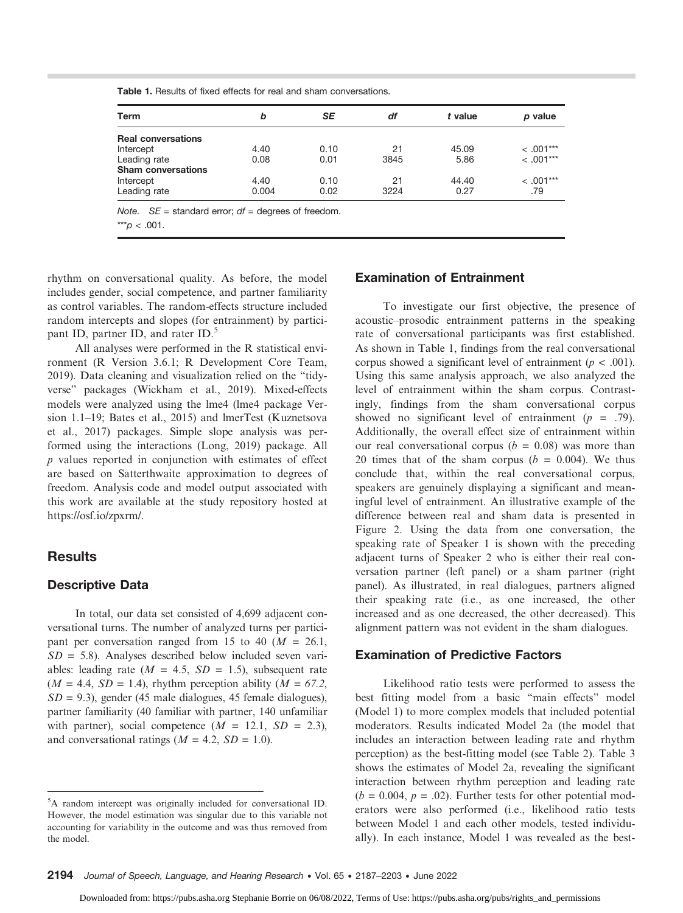| Term                      | b     | <b>SE</b> | df   | t value | p value     |
|---------------------------|-------|-----------|------|---------|-------------|
| <b>Real conversations</b> |       |           |      |         |             |
| Intercept                 | 4.40  | 0.10      | 21   | 45.09   | $< 0.01***$ |
| Leading rate              | 0.08  | 0.01      | 3845 | 5.86    | $<.001***$  |
| <b>Sham conversations</b> |       |           |      |         |             |
| Intercept                 | 4.40  | 0.10      | 21   | 44.40   | $< .001***$ |
| Leading rate              | 0.004 | 0.02      | 3224 | 0.27    | .79         |

Table 1. Results of fixed effects for real and sham conversations.

rhythm on conversational quality. As before, the model includes gender, social competence, and partner familiarity as control variables. The random-effects structure included random intercepts and slopes (for entrainment) by participant ID, partner ID, and rater ID.<sup>5</sup>

All analyses were performed in the R statistical environment (R Version 3.6.1; R Development Core Team, 2019). Data cleaning and visualization relied on the "tidyverse" packages (Wickham et al., 2019). Mixed-effects models were analyzed using the lme4 (lme4 package Version 1.1–19; Bates et al., 2015) and lmerTest (Kuznetsova et al., 2017) packages. Simple slope analysis was performed using the interactions (Long, 2019) package. All p values reported in conjunction with estimates of effect are based on Satterthwaite approximation to degrees of freedom. Analysis code and model output associated with this work are available at the study repository hosted at [https://osf.io/zpxrm/.](https://osf.io/zpxrm/)

# **Results**

# Descriptive Data

In total, our data set consisted of 4,699 adjacent conversational turns. The number of analyzed turns per participant per conversation ranged from 15 to 40 ( $M = 26.1$ ,  $SD = 5.8$ ). Analyses described below included seven variables: leading rate ( $M = 4.5$ ,  $SD = 1.5$ ), subsequent rate  $(M = 4.4, SD = 1.4)$ , rhythm perception ability  $(M = 67.2,$  $SD = 9.3$ ), gender (45 male dialogues, 45 female dialogues), partner familiarity (40 familiar with partner, 140 unfamiliar with partner), social competence  $(M = 12.1, SD = 2.3)$ , and conversational ratings  $(M = 4.2, SD = 1.0)$ .

## Examination of Entrainment

To investigate our first objective, the presence of acoustic–prosodic entrainment patterns in the speaking rate of conversational participants was first established. As shown in Table 1, findings from the real conversational corpus showed a significant level of entrainment ( $p < .001$ ). Using this same analysis approach, we also analyzed the level of entrainment within the sham corpus. Contrastingly, findings from the sham conversational corpus showed no significant level of entrainment  $(p = .79)$ . Additionally, the overall effect size of entrainment within our real conversational corpus ( $b = 0.08$ ) was more than 20 times that of the sham corpus  $(b = 0.004)$ . We thus conclude that, within the real conversational corpus, speakers are genuinely displaying a significant and meaningful level of entrainment. An illustrative example of the difference between real and sham data is presented in Figure 2. Using the data from one conversation, the speaking rate of Speaker 1 is shown with the preceding adjacent turns of Speaker 2 who is either their real conversation partner (left panel) or a sham partner (right panel). As illustrated, in real dialogues, partners aligned their speaking rate (i.e., as one increased, the other increased and as one decreased, the other decreased). This alignment pattern was not evident in the sham dialogues.

## Examination of Predictive Factors

Likelihood ratio tests were performed to assess the best fitting model from a basic "main effects" model (Model 1) to more complex models that included potential moderators. Results indicated Model 2a (the model that includes an interaction between leading rate and rhythm perception) as the best-fitting model (see Table 2). Table 3 shows the estimates of Model 2a, revealing the significant interaction between rhythm perception and leading rate  $(b = 0.004, p = .02)$ . Further tests for other potential moderators were also performed (i.e., likelihood ratio tests between Model 1 and each other models, tested individually). In each instance, Model 1 was revealed as the best-

<sup>5</sup> A random intercept was originally included for conversational ID. However, the model estimation was singular due to this variable not accounting for variability in the outcome and was thus removed from the model.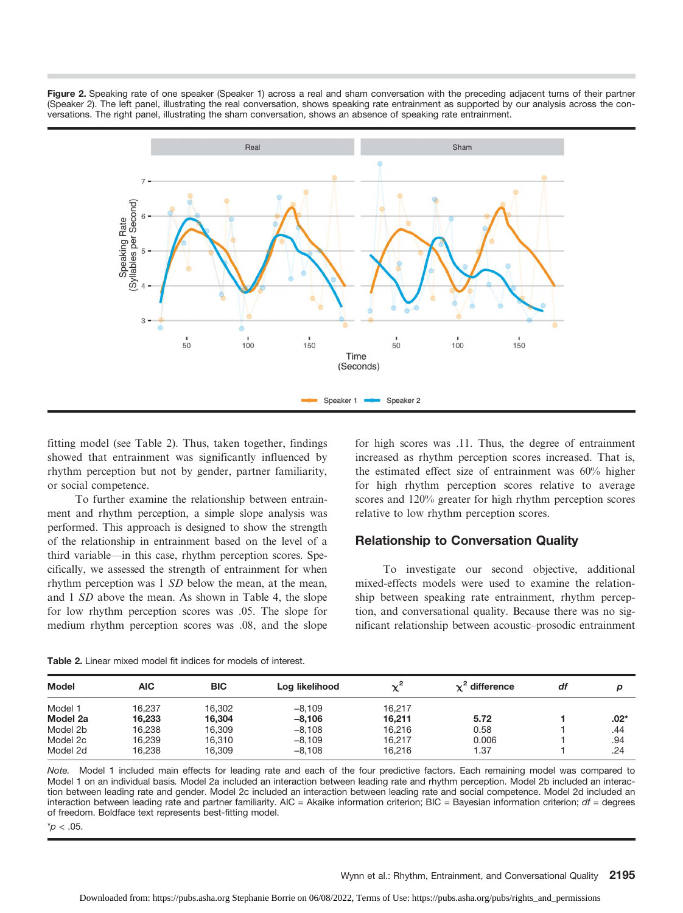Figure 2. Speaking rate of one speaker (Speaker 1) across a real and sham conversation with the preceding adjacent turns of their partner (Speaker 2). The left panel, illustrating the real conversation, shows speaking rate entrainment as supported by our analysis across the conversations. The right panel, illustrating the sham conversation, shows an absence of speaking rate entrainment.



fitting model (see Table 2). Thus, taken together, findings showed that entrainment was significantly influenced by rhythm perception but not by gender, partner familiarity, or social competence.

To further examine the relationship between entrainment and rhythm perception, a simple slope analysis was performed. This approach is designed to show the strength of the relationship in entrainment based on the level of a third variable—in this case, rhythm perception scores. Specifically, we assessed the strength of entrainment for when rhythm perception was 1 SD below the mean, at the mean, and 1 SD above the mean. As shown in Table 4, the slope for low rhythm perception scores was .05. The slope for medium rhythm perception scores was .08, and the slope

for high scores was .11. Thus, the degree of entrainment increased as rhythm perception scores increased. That is, the estimated effect size of entrainment was 60% higher for high rhythm perception scores relative to average scores and 120% greater for high rhythm perception scores relative to low rhythm perception scores.

## Relationship to Conversation Quality

To investigate our second objective, additional mixed-effects models were used to examine the relationship between speaking rate entrainment, rhythm perception, and conversational quality. Because there was no significant relationship between acoustic–prosodic entrainment

| AIC    | <b>BIC</b> | Log likelihood | $\sim$ <sup>2</sup> | $\chi^2$ difference | df | p   |
|--------|------------|----------------|---------------------|---------------------|----|-----|
| 16.237 | 16.302     | $-8.109$       | 16.217              |                     |    |     |
| 16.233 | 16.304     | $-8.106$       | 16.211              | 5.72                |    | :02 |
| 16.238 | 16.309     | $-8.108$       | 16.216              | 0.58                |    | .44 |
| 16.239 | 16.310     | $-8.109$       | 16,217              | 0.006               |    | .94 |
|        |            |                |                     |                     |    |     |

Table 2. Linear mixed model fit indices for models of interest.

Note. Model 1 included main effects for leading rate and each of the four predictive factors. Each remaining model was compared to Model 1 on an individual basis. Model 2a included an interaction between leading rate and rhythm perception. Model 2b included an interaction between leading rate and gender. Model 2c included an interaction between leading rate and social competence. Model 2d included an interaction between leading rate and partner familiarity. AIC = Akaike information criterion; BIC = Bayesian information criterion;  $df =$  degrees of freedom. Boldface text represents best-fitting model.

Model 2d 16,238 16,309 −8,108 16,216 1.37 1 .24

 $p < .05$ .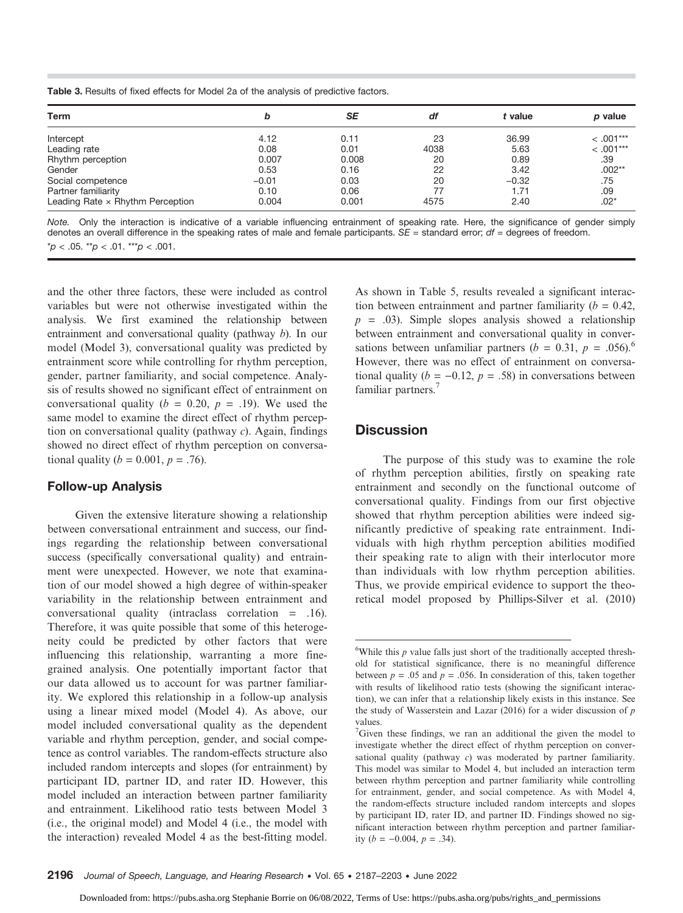Table 3. Results of fixed effects for Model 2a of the analysis of predictive factors.

| b       | SE    | df   | t value | p value     |
|---------|-------|------|---------|-------------|
| 4.12    | 0.11  | 23   | 36.99   | $< .001***$ |
| 0.08    | 0.01  | 4038 | 5.63    | $< .001***$ |
| 0.007   | 0.008 | 20   | 0.89    | .39         |
| 0.53    | 0.16  | 22   | 3.42    | $.002**$    |
| $-0.01$ | 0.03  | 20   | $-0.32$ | .75         |
| 0.10    | 0.06  | 77   | 1.71    | .09         |
| 0.004   | 0.001 | 4575 | 2.40    | $.02*$      |
|         |       |      |         |             |

Note. Only the interaction is indicative of a variable influencing entrainment of speaking rate. Here, the significance of gender simply denotes an overall difference in the speaking rates of male and female participants.  $SE =$  standard error;  $df =$  degrees of freedom.  $p < .05$ . \*\*p  $< .01$ . \*\*\*p  $< .001$ .

and the other three factors, these were included as control variables but were not otherwise investigated within the analysis. We first examined the relationship between entrainment and conversational quality (pathway b). In our model (Model 3), conversational quality was predicted by entrainment score while controlling for rhythm perception, gender, partner familiarity, and social competence. Analysis of results showed no significant effect of entrainment on conversational quality ( $b = 0.20$ ,  $p = .19$ ). We used the same model to examine the direct effect of rhythm perception on conversational quality (pathway  $c$ ). Again, findings showed no direct effect of rhythm perception on conversational quality ( $b = 0.001, p = .76$ ).

## Follow-up Analysis

Given the extensive literature showing a relationship between conversational entrainment and success, our findings regarding the relationship between conversational success (specifically conversational quality) and entrainment were unexpected. However, we note that examination of our model showed a high degree of within-speaker variability in the relationship between entrainment and conversational quality (intraclass correlation = .16). Therefore, it was quite possible that some of this heterogeneity could be predicted by other factors that were influencing this relationship, warranting a more finegrained analysis. One potentially important factor that our data allowed us to account for was partner familiarity. We explored this relationship in a follow-up analysis using a linear mixed model (Model 4). As above, our model included conversational quality as the dependent variable and rhythm perception, gender, and social competence as control variables. The random-effects structure also included random intercepts and slopes (for entrainment) by participant ID, partner ID, and rater ID. However, this model included an interaction between partner familiarity and entrainment. Likelihood ratio tests between Model 3 (i.e., the original model) and Model 4 (i.e., the model with the interaction) revealed Model 4 as the best-fitting model.

As shown in Table 5, results revealed a significant interaction between entrainment and partner familiarity ( $b = 0.42$ ,  $p = .03$ ). Simple slopes analysis showed a relationship between entrainment and conversational quality in conversations between unfamiliar partners ( $b = 0.31$ ,  $p = .056$ ).<sup>6</sup> However, there was no effect of entrainment on conversational quality ( $b = -0.12$ ,  $p = .58$ ) in conversations between familiar partners.<sup>7</sup>

# **Discussion**

The purpose of this study was to examine the role of rhythm perception abilities, firstly on speaking rate entrainment and secondly on the functional outcome of conversational quality. Findings from our first objective showed that rhythm perception abilities were indeed significantly predictive of speaking rate entrainment. Individuals with high rhythm perception abilities modified their speaking rate to align with their interlocutor more than individuals with low rhythm perception abilities. Thus, we provide empirical evidence to support the theoretical model proposed by Phillips-Silver et al. (2010)

 $6$ While this  $p$  value falls just short of the traditionally accepted threshold for statistical significance, there is no meaningful difference between  $p = .05$  and  $p = .056$ . In consideration of this, taken together with results of likelihood ratio tests (showing the significant interaction), we can infer that a relationship likely exists in this instance. See the study of Wasserstein and Lazar (2016) for a wider discussion of  $p$ values.

<sup>&</sup>lt;sup>7</sup>Given these findings, we ran an additional the given the model to investigate whether the direct effect of rhythm perception on conversational quality (pathway  $c$ ) was moderated by partner familiarity. This model was similar to Model 4, but included an interaction term between rhythm perception and partner familiarity while controlling for entrainment, gender, and social competence. As with Model 4, the random-effects structure included random intercepts and slopes by participant ID, rater ID, and partner ID. Findings showed no significant interaction between rhythm perception and partner familiarity (*b* = −0.004, *p* = .34).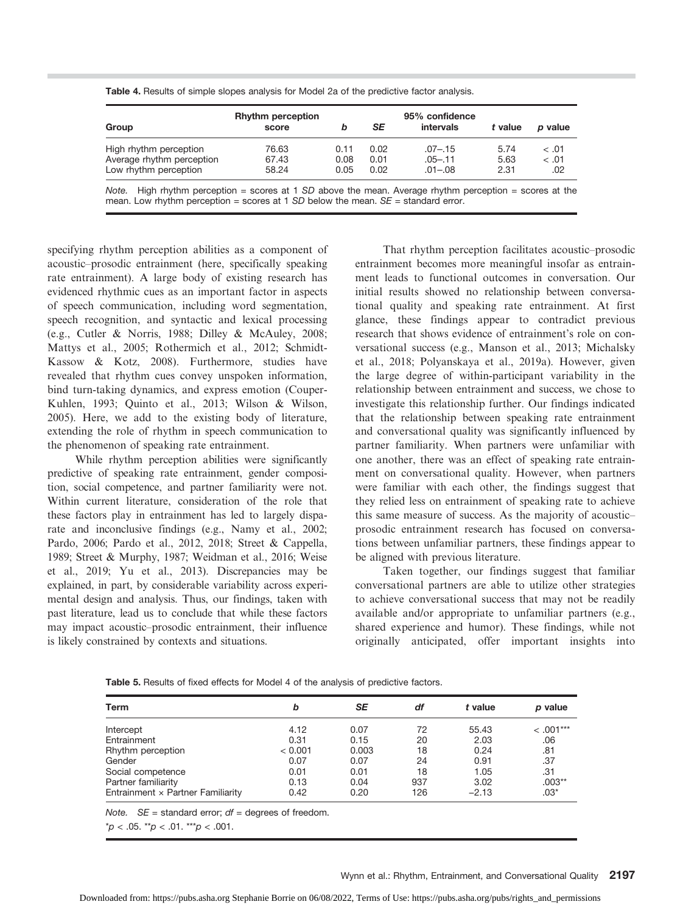| Group                     | <b>Rhythm perception</b><br>score | b    | SE   | 95% confidence<br>intervals | t value | p value |
|---------------------------|-----------------------------------|------|------|-----------------------------|---------|---------|
| High rhythm perception    | 76.63                             | 0.11 | 0.02 | $.07 - .15$                 | 5.74    | < 0.01  |
| Average rhythm perception | 67.43                             | 0.08 | 0.01 | $.05 - .11$                 | 5.63    | < 0.01  |
| Low rhythm perception     | 58.24                             | 0.05 | 0.02 | $.01 - .08$                 | 2.31    | .02     |

Table 4. Results of simple slopes analysis for Model 2a of the predictive factor analysis.

Note. High rhythm perception = scores at 1 SD above the mean. Average rhythm perception = scores at the mean. Low rhythm perception = scores at 1 SD below the mean.  $SE =$  standard error.

specifying rhythm perception abilities as a component of acoustic–prosodic entrainment (here, specifically speaking rate entrainment). A large body of existing research has evidenced rhythmic cues as an important factor in aspects of speech communication, including word segmentation, speech recognition, and syntactic and lexical processing (e.g., Cutler & Norris, 1988; Dilley & McAuley, 2008; Mattys et al., 2005; Rothermich et al., 2012; Schmidt-Kassow & Kotz, 2008). Furthermore, studies have revealed that rhythm cues convey unspoken information, bind turn-taking dynamics, and express emotion (Couper-Kuhlen, 1993; Quinto et al., 2013; Wilson & Wilson, 2005). Here, we add to the existing body of literature, extending the role of rhythm in speech communication to the phenomenon of speaking rate entrainment.

While rhythm perception abilities were significantly predictive of speaking rate entrainment, gender composition, social competence, and partner familiarity were not. Within current literature, consideration of the role that these factors play in entrainment has led to largely disparate and inconclusive findings (e.g., Namy et al., 2002; Pardo, 2006; Pardo et al., 2012, 2018; Street & Cappella, 1989; Street & Murphy, 1987; Weidman et al., 2016; Weise et al., 2019; Yu et al., 2013). Discrepancies may be explained, in part, by considerable variability across experimental design and analysis. Thus, our findings, taken with past literature, lead us to conclude that while these factors may impact acoustic–prosodic entrainment, their influence is likely constrained by contexts and situations.

That rhythm perception facilitates acoustic–prosodic entrainment becomes more meaningful insofar as entrainment leads to functional outcomes in conversation. Our initial results showed no relationship between conversational quality and speaking rate entrainment. At first glance, these findings appear to contradict previous research that shows evidence of entrainment's role on conversational success (e.g., Manson et al., 2013; Michalsky et al., 2018; Polyanskaya et al., 2019a). However, given the large degree of within-participant variability in the relationship between entrainment and success, we chose to investigate this relationship further. Our findings indicated that the relationship between speaking rate entrainment and conversational quality was significantly influenced by partner familiarity. When partners were unfamiliar with one another, there was an effect of speaking rate entrainment on conversational quality. However, when partners were familiar with each other, the findings suggest that they relied less on entrainment of speaking rate to achieve this same measure of success. As the majority of acoustic– prosodic entrainment research has focused on conversations between unfamiliar partners, these findings appear to be aligned with previous literature.

Taken together, our findings suggest that familiar conversational partners are able to utilize other strategies to achieve conversational success that may not be readily available and/or appropriate to unfamiliar partners (e.g., shared experience and humor). These findings, while not originally anticipated, offer important insights into

Table 5. Results of fixed effects for Model 4 of the analysis of predictive factors.

| Term                              | b       | SE    | df  | t value | p value     |
|-----------------------------------|---------|-------|-----|---------|-------------|
| Intercept                         | 4.12    | 0.07  | 72  | 55.43   | $< .001***$ |
| Entrainment                       | 0.31    | 0.15  | 20  | 2.03    | .06         |
| Rhythm perception                 | < 0.001 | 0.003 | 18  | 0.24    | .81         |
| Gender                            | 0.07    | 0.07  | 24  | 0.91    | .37         |
| Social competence                 | 0.01    | 0.01  | 18  | 1.05    | .31         |
| Partner familiarity               | 0.13    | 0.04  | 937 | 3.02    | $.003**$    |
| Entrainment x Partner Familiarity | 0.42    | 0.20  | 126 | $-2.13$ | $.03*$      |

Note.  $SE =$  standard error;  $df =$  degrees of freedom.

 $*p < .05$ .  $*p < .01$ .  $**p < .001$ .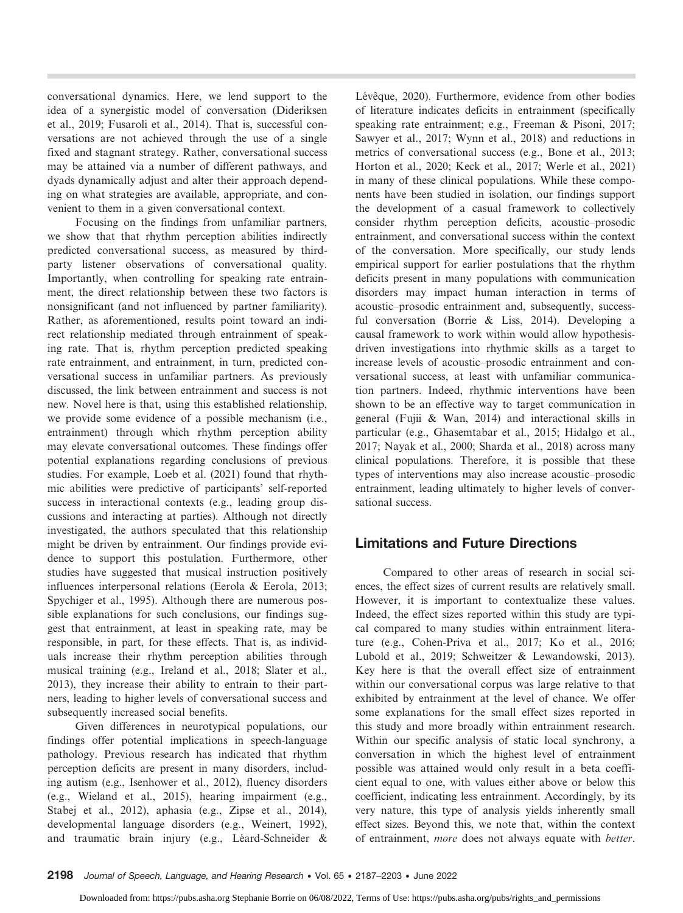conversational dynamics. Here, we lend support to the idea of a synergistic model of conversation (Dideriksen et al., 2019; Fusaroli et al., 2014). That is, successful conversations are not achieved through the use of a single fixed and stagnant strategy. Rather, conversational success may be attained via a number of different pathways, and dyads dynamically adjust and alter their approach depending on what strategies are available, appropriate, and convenient to them in a given conversational context.

Focusing on the findings from unfamiliar partners, we show that that rhythm perception abilities indirectly predicted conversational success, as measured by thirdparty listener observations of conversational quality. Importantly, when controlling for speaking rate entrainment, the direct relationship between these two factors is nonsignificant (and not influenced by partner familiarity). Rather, as aforementioned, results point toward an indirect relationship mediated through entrainment of speaking rate. That is, rhythm perception predicted speaking rate entrainment, and entrainment, in turn, predicted conversational success in unfamiliar partners. As previously discussed, the link between entrainment and success is not new. Novel here is that, using this established relationship, we provide some evidence of a possible mechanism (i.e., entrainment) through which rhythm perception ability may elevate conversational outcomes. These findings offer potential explanations regarding conclusions of previous studies. For example, Loeb et al. (2021) found that rhythmic abilities were predictive of participants' self-reported success in interactional contexts (e.g., leading group discussions and interacting at parties). Although not directly investigated, the authors speculated that this relationship might be driven by entrainment. Our findings provide evidence to support this postulation. Furthermore, other studies have suggested that musical instruction positively influences interpersonal relations (Eerola & Eerola, 2013; Spychiger et al., 1995). Although there are numerous possible explanations for such conclusions, our findings suggest that entrainment, at least in speaking rate, may be responsible, in part, for these effects. That is, as individuals increase their rhythm perception abilities through musical training (e.g., Ireland et al., 2018; Slater et al., 2013), they increase their ability to entrain to their partners, leading to higher levels of conversational success and subsequently increased social benefits.

Given differences in neurotypical populations, our findings offer potential implications in speech-language pathology. Previous research has indicated that rhythm perception deficits are present in many disorders, including autism (e.g., Isenhower et al., 2012), fluency disorders (e.g., Wieland et al., 2015), hearing impairment (e.g., Stabej et al., 2012), aphasia (e.g., Zipse et al., 2014), developmental language disorders (e.g., Weinert, 1992), and traumatic brain injury (e.g., Léard-Schneider &

Lévêque, 2020). Furthermore, evidence from other bodies of literature indicates deficits in entrainment (specifically speaking rate entrainment; e.g., Freeman & Pisoni, 2017; Sawyer et al., 2017; Wynn et al., 2018) and reductions in metrics of conversational success (e.g., Bone et al., 2013; Horton et al., 2020; Keck et al., 2017; Werle et al., 2021) in many of these clinical populations. While these components have been studied in isolation, our findings support the development of a casual framework to collectively consider rhythm perception deficits, acoustic–prosodic entrainment, and conversational success within the context of the conversation. More specifically, our study lends empirical support for earlier postulations that the rhythm deficits present in many populations with communication disorders may impact human interaction in terms of acoustic–prosodic entrainment and, subsequently, successful conversation (Borrie & Liss, 2014). Developing a causal framework to work within would allow hypothesisdriven investigations into rhythmic skills as a target to increase levels of acoustic–prosodic entrainment and conversational success, at least with unfamiliar communication partners. Indeed, rhythmic interventions have been shown to be an effective way to target communication in general (Fujii & Wan, 2014) and interactional skills in particular (e.g., Ghasemtabar et al., 2015; Hidalgo et al., 2017; Nayak et al., 2000; Sharda et al., 2018) across many clinical populations. Therefore, it is possible that these types of interventions may also increase acoustic–prosodic entrainment, leading ultimately to higher levels of conversational success.

# Limitations and Future Directions

Compared to other areas of research in social sciences, the effect sizes of current results are relatively small. However, it is important to contextualize these values. Indeed, the effect sizes reported within this study are typical compared to many studies within entrainment literature (e.g., Cohen-Priva et al., 2017; Ko et al., 2016; Lubold et al., 2019; Schweitzer & Lewandowski, 2013). Key here is that the overall effect size of entrainment within our conversational corpus was large relative to that exhibited by entrainment at the level of chance. We offer some explanations for the small effect sizes reported in this study and more broadly within entrainment research. Within our specific analysis of static local synchrony, a conversation in which the highest level of entrainment possible was attained would only result in a beta coefficient equal to one, with values either above or below this coefficient, indicating less entrainment. Accordingly, by its very nature, this type of analysis yields inherently small effect sizes. Beyond this, we note that, within the context of entrainment, more does not always equate with better.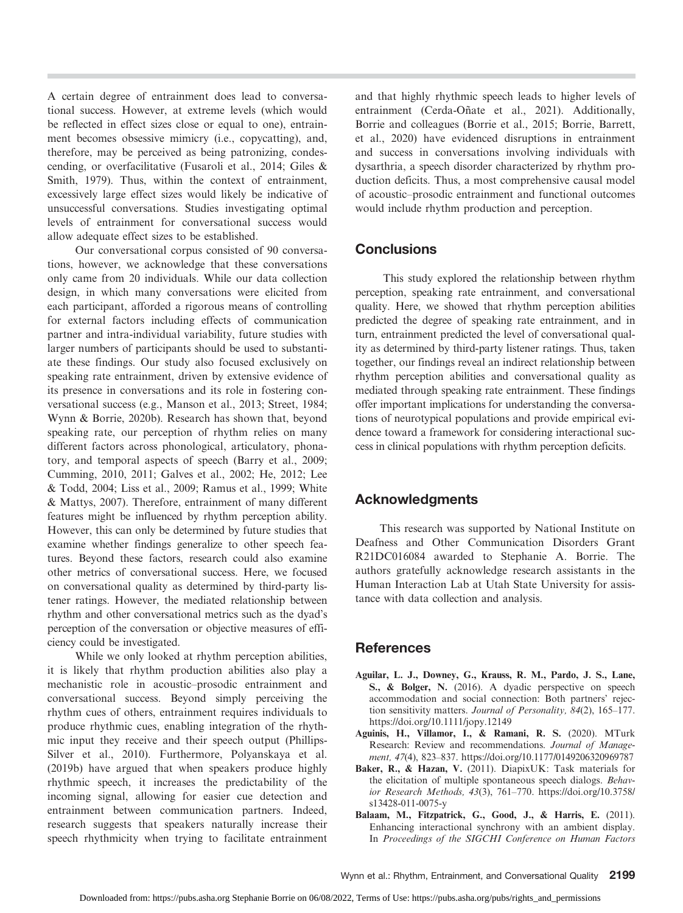A certain degree of entrainment does lead to conversational success. However, at extreme levels (which would be reflected in effect sizes close or equal to one), entrainment becomes obsessive mimicry (i.e., copycatting), and, therefore, may be perceived as being patronizing, condescending, or overfacilitative (Fusaroli et al., 2014; Giles & Smith, 1979). Thus, within the context of entrainment, excessively large effect sizes would likely be indicative of unsuccessful conversations. Studies investigating optimal levels of entrainment for conversational success would allow adequate effect sizes to be established.

Our conversational corpus consisted of 90 conversations, however, we acknowledge that these conversations only came from 20 individuals. While our data collection design, in which many conversations were elicited from each participant, afforded a rigorous means of controlling for external factors including effects of communication partner and intra-individual variability, future studies with larger numbers of participants should be used to substantiate these findings. Our study also focused exclusively on speaking rate entrainment, driven by extensive evidence of its presence in conversations and its role in fostering conversational success (e.g., Manson et al., 2013; Street, 1984; Wynn & Borrie, 2020b). Research has shown that, beyond speaking rate, our perception of rhythm relies on many different factors across phonological, articulatory, phonatory, and temporal aspects of speech (Barry et al., 2009; Cumming, 2010, 2011; Galves et al., 2002; He, 2012; Lee & Todd, 2004; Liss et al., 2009; Ramus et al., 1999; White & Mattys, 2007). Therefore, entrainment of many different features might be influenced by rhythm perception ability. However, this can only be determined by future studies that examine whether findings generalize to other speech features. Beyond these factors, research could also examine other metrics of conversational success. Here, we focused on conversational quality as determined by third-party listener ratings. However, the mediated relationship between rhythm and other conversational metrics such as the dyad's perception of the conversation or objective measures of efficiency could be investigated.

While we only looked at rhythm perception abilities, it is likely that rhythm production abilities also play a mechanistic role in acoustic–prosodic entrainment and conversational success. Beyond simply perceiving the rhythm cues of others, entrainment requires individuals to produce rhythmic cues, enabling integration of the rhythmic input they receive and their speech output (Phillips-Silver et al., 2010). Furthermore, Polyanskaya et al. (2019b) have argued that when speakers produce highly rhythmic speech, it increases the predictability of the incoming signal, allowing for easier cue detection and entrainment between communication partners. Indeed, research suggests that speakers naturally increase their speech rhythmicity when trying to facilitate entrainment

and that highly rhythmic speech leads to higher levels of entrainment (Cerda-Oñate et al., 2021). Additionally, Borrie and colleagues (Borrie et al., 2015; Borrie, Barrett, et al., 2020) have evidenced disruptions in entrainment and success in conversations involving individuals with dysarthria, a speech disorder characterized by rhythm production deficits. Thus, a most comprehensive causal model of acoustic–prosodic entrainment and functional outcomes would include rhythm production and perception.

# **Conclusions**

This study explored the relationship between rhythm perception, speaking rate entrainment, and conversational quality. Here, we showed that rhythm perception abilities predicted the degree of speaking rate entrainment, and in turn, entrainment predicted the level of conversational quality as determined by third-party listener ratings. Thus, taken together, our findings reveal an indirect relationship between rhythm perception abilities and conversational quality as mediated through speaking rate entrainment. These findings offer important implications for understanding the conversations of neurotypical populations and provide empirical evidence toward a framework for considering interactional success in clinical populations with rhythm perception deficits.

# Acknowledgments

This research was supported by National Institute on Deafness and Other Communication Disorders Grant R21DC016084 awarded to Stephanie A. Borrie. The authors gratefully acknowledge research assistants in the Human Interaction Lab at Utah State University for assistance with data collection and analysis.

# References

- Aguilar, L. J., Downey, G., Krauss, R. M., Pardo, J. S., Lane, S., & Bolger, N. (2016). A dyadic perspective on speech accommodation and social connection: Both partners' rejection sensitivity matters. Journal of Personality, 84(2), 165–177. <https://doi.org/10.1111/jopy.12149>
- Aguinis, H., Villamor, I., & Ramani, R. S. (2020). MTurk Research: Review and recommendations. Journal of Management, 47(4), 823–837.<https://doi.org/10.1177/0149206320969787>
- Baker, R., & Hazan, V. (2011). DiapixUK: Task materials for the elicitation of multiple spontaneous speech dialogs. Behavior Research Methods, 43(3), 761–770. [https://doi.org/10.3758/](https://doi.org/10.3758/s13428-011-0075-y) [s13428-011-0075-y](https://doi.org/10.3758/s13428-011-0075-y)
- Balaam, M., Fitzpatrick, G., Good, J., & Harris, E. (2011). Enhancing interactional synchrony with an ambient display. In Proceedings of the SIGCHI Conference on Human Factors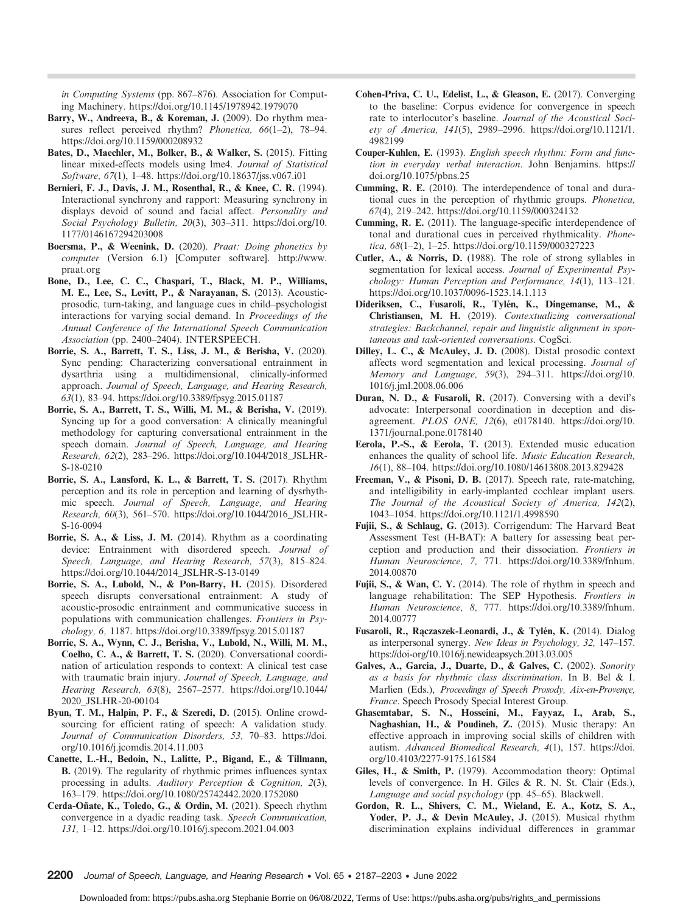in Computing Systems (pp. 867–876). Association for Computing Machinery.<https://doi.org/10.1145/1978942.1979070>

- Barry, W., Andreeva, B., & Koreman, J. (2009). Do rhythm measures reflect perceived rhythm? *Phonetica*, 66(1-2), 78-94. <https://doi.org/10.1159/000208932>
- Bates, D., Maechler, M., Bolker, B., & Walker, S. (2015). Fitting linear mixed-effects models using lme4. Journal of Statistical Software, 67(1), 1–48.<https://doi.org/10.18637/jss.v067.i01>
- Bernieri, F. J., Davis, J. M., Rosenthal, R., & Knee, C. R. (1994). Interactional synchrony and rapport: Measuring synchrony in displays devoid of sound and facial affect. Personality and Social Psychology Bulletin, 20(3), 303–311. [https://doi.org/10.](https://doi.org/10.1177/0146167294203008) [1177/0146167294203008](https://doi.org/10.1177/0146167294203008)
- Boersma, P., & Weenink, D. (2020). Praat: Doing phonetics by computer (Version 6.1) [Computer software]. [http://www.](http://www.praat.org) [praat.org](http://www.praat.org)
- Bone, D., Lee, C. C., Chaspari, T., Black, M. P., Williams, M. E., Lee, S., Levitt, P., & Narayanan, S. (2013). Acousticprosodic, turn-taking, and language cues in child–psychologist interactions for varying social demand. In Proceedings of the Annual Conference of the International Speech Communication Association (pp. 2400–2404). INTERSPEECH.
- Borrie, S. A., Barrett, T. S., Liss, J. M., & Berisha, V. (2020). Sync pending: Characterizing conversational entrainment in dysarthria using a multidimensional, clinically-informed approach. Journal of Speech, Language, and Hearing Research, 63(1), 83–94.<https://doi.org/10.3389/fpsyg.2015.01187>
- Borrie, S. A., Barrett, T. S., Willi, M. M., & Berisha, V. (2019). Syncing up for a good conversation: A clinically meaningful methodology for capturing conversational entrainment in the speech domain. Journal of Speech, Language, and Hearing Research, 62(2), 283–296. [https://doi.org/10.1044/2018\\_JSLHR-](https://doi.org/10.1044/2018_JSLHR-S-18-0210)[S-18-0210](https://doi.org/10.1044/2018_JSLHR-S-18-0210)
- Borrie, S. A., Lansford, K. L., & Barrett, T. S. (2017). Rhythm perception and its role in perception and learning of dysrhythmic speech. Journal of Speech, Language, and Hearing Research, 60(3), 561–570. [https://doi.org/10.1044/2016\\_JSLHR-](https://doi.org/10.1044/2016_JSLHR-S-16-0094)[S-16-0094](https://doi.org/10.1044/2016_JSLHR-S-16-0094)
- Borrie, S. A., & Liss, J. M. (2014). Rhythm as a coordinating device: Entrainment with disordered speech. Journal of Speech, Language, and Hearing Research, 57(3), 815–824. [https://doi.org/10.1044/2014\\_JSLHR-S-13-0149](https://doi.org/10.1044/2014_JSLHR-S-13-0149)
- Borrie, S. A., Lubold, N., & Pon-Barry, H. (2015). Disordered speech disrupts conversational entrainment: A study of acoustic-prosodic entrainment and communicative success in populations with communication challenges. Frontiers in Psychology, 6, 1187.<https://doi.org/10.3389/fpsyg.2015.01187>
- Borrie, S. A., Wynn, C. J., Berisha, V., Lubold, N., Willi, M. M., Coelho, C. A., & Barrett, T. S. (2020). Conversational coordination of articulation responds to context: A clinical test case with traumatic brain injury. Journal of Speech, Language, and Hearing Research, 63(8), 2567–2577. [https://doi.org/10.1044/](https://doi.org/10.1044/2020_JSLHR-20-00104) [2020\\_JSLHR-20-00104](https://doi.org/10.1044/2020_JSLHR-20-00104)
- Byun, T. M., Halpin, P. F., & Szeredi, D. (2015). Online crowdsourcing for efficient rating of speech: A validation study. Journal of Communication Disorders, 53, 70–83. [https://doi.](https://doi.org/10.1016/j.jcomdis.2014.11.003) [org/10.1016/j.jcomdis.2014.11.003](https://doi.org/10.1016/j.jcomdis.2014.11.003)
- Canette, L.-H., Bedoin, N., Lalitte, P., Bigand, E., & Tillmann, B. (2019). The regularity of rhythmic primes influences syntax processing in adults. Auditory Perception & Cognition, 2(3), 163–179.<https://doi.org/10.1080/25742442.2020.1752080>
- Cerda-Oñate, K., Toledo, G., & Ordin, M. (2021). Speech rhythm convergence in a dyadic reading task. Speech Communication, 131, 1–12.<https://doi.org/10.1016/j.specom.2021.04.003>
- Cohen-Priva, C. U., Edelist, L., & Gleason, E. (2017). Converging to the baseline: Corpus evidence for convergence in speech rate to interlocutor's baseline. Journal of the Acoustical Society of America, 141(5), 2989–2996. [https://doi.org/10.1121/1.](https://doi.org/10.1121/1.4982199) [4982199](https://doi.org/10.1121/1.4982199)
- Couper-Kuhlen, E. (1993). English speech rhythm: Form and function in everyday verbal interaction. John Benjamins. [https://](https://doi.org/10.1075/pbns.25) [doi.org/10.1075/pbns.25](https://doi.org/10.1075/pbns.25)
- Cumming, R. E. (2010). The interdependence of tonal and durational cues in the perception of rhythmic groups. Phonetica, 67(4), 219–242.<https://doi.org/10.1159/000324132>
- Cumming, R. E. (2011). The language-specific interdependence of tonal and durational cues in perceived rhythmicality. Phonetica, 68(1–2), 1–25.<https://doi.org/10.1159/000327223>
- Cutler, A., & Norris, D. (1988). The role of strong syllables in segmentation for lexical access. Journal of Experimental Psychology: Human Perception and Performance, 14(1), 113–121. <https://doi.org/10.1037/0096-1523.14.1.113>
- Dideriksen, C., Fusaroli, R., Tylén, K., Dingemanse, M., & Christiansen, M. H. (2019). Contextualizing conversational strategies: Backchannel, repair and linguistic alignment in spontaneous and task-oriented conversations. CogSci.
- Dilley, L. C., & McAuley, J. D. (2008). Distal prosodic context affects word segmentation and lexical processing. Journal of Memory and Language, 59(3), 294–311. [https://doi.org/10.](https://doi.org/10.1016/j.jml.2008.06.006) [1016/j.jml.2008.06.006](https://doi.org/10.1016/j.jml.2008.06.006)
- Duran, N. D., & Fusaroli, R. (2017). Conversing with a devil's advocate: Interpersonal coordination in deception and disagreement. PLOS ONE, 12(6), e0178140. [https://doi.org/10.](https://doi.org/10.1371/journal.pone.0178140) [1371/journal.pone.0178140](https://doi.org/10.1371/journal.pone.0178140)
- Eerola, P.-S., & Eerola, T. (2013). Extended music education enhances the quality of school life. Music Education Research, 16(1), 88–104.<https://doi.org/10.1080/14613808.2013.829428>
- Freeman, V., & Pisoni, D. B. (2017). Speech rate, rate-matching, and intelligibility in early-implanted cochlear implant users. The Journal of the Acoustical Society of America, 142(2), 1043–1054.<https://doi.org/10.1121/1.4998590>
- Fujii, S., & Schlaug, G. (2013). Corrigendum: The Harvard Beat Assessment Test (H-BAT): A battery for assessing beat perception and production and their dissociation. Frontiers in Human Neuroscience, 7, 771. [https://doi.org/10.3389/fnhum.](https://doi.org/10.3389/fnhum.2014.00870) [2014.00870](https://doi.org/10.3389/fnhum.2014.00870)
- Fujii, S., & Wan, C. Y. (2014). The role of rhythm in speech and language rehabilitation: The SEP Hypothesis. Frontiers in Human Neuroscience, 8, 777. [https://doi.org/10.3389/fnhum.](https://doi.org/10.3389/fnhum.2014.00777) [2014.00777](https://doi.org/10.3389/fnhum.2014.00777)
- Fusaroli, R., Rączaszek-Leonardi, J., & Tylén, K. (2014). Dialog as interpersonal synergy. New Ideas in Psychology, 32, 147–157. https://doi-org/10.1016/j.newideapsych.2013.03.005
- Galves, A., Garcia, J., Duarte, D., & Galves, C. (2002). Sonority as a basis for rhythmic class discrimination. In B. Bel & I. Marlien (Eds.), Proceedings of Speech Prosody, Aix-en-Provençe, France. Speech Prosody Special Interest Group.
- Ghasemtabar, S. N., Hosseini, M., Fayyaz, I., Arab, S., Naghashian, H., & Poudineh, Z. (2015). Music therapy: An effective approach in improving social skills of children with autism. Advanced Biomedical Research, 4(1), 157. [https://doi.](https://doi.org/10.4103/2277-9175.161584) [org/10.4103/2277-9175.161584](https://doi.org/10.4103/2277-9175.161584)
- Giles, H., & Smith, P. (1979). Accommodation theory: Optimal levels of convergence. In H. Giles & R. N. St. Clair (Eds.), Language and social psychology (pp. 45–65). Blackwell.
- Gordon, R. L., Shivers, C. M., Wieland, E. A., Kotz, S. A., Yoder, P. J., & Devin McAuley, J. (2015). Musical rhythm discrimination explains individual differences in grammar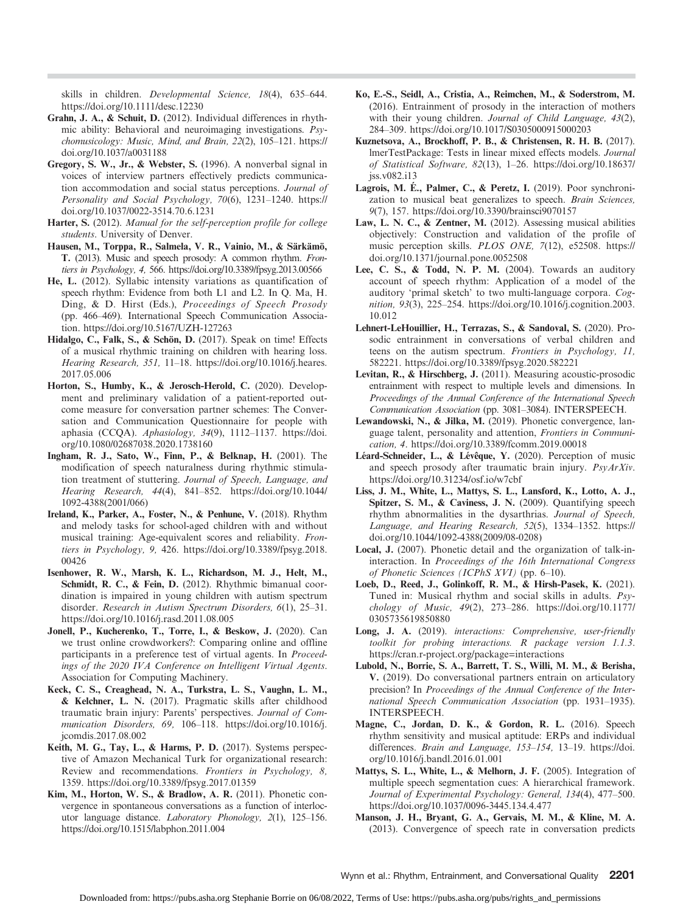skills in children. Developmental Science, 18(4), 635–644. https://doi.org/10.1111/desc.12230

- Grahn, J. A., & Schuit, D. (2012). Individual differences in rhythmic ability: Behavioral and neuroimaging investigations. Psychomusicology: Music, Mind, and Brain, 22(2), 105–121. [https://](https://doi.org/10.1037/a0031188) [doi.org/10.1037/a0031188](https://doi.org/10.1037/a0031188)
- Gregory, S. W., Jr., & Webster, S. (1996). A nonverbal signal in voices of interview partners effectively predicts communication accommodation and social status perceptions. Journal of Personality and Social Psychology, 70(6), 1231–1240. [https://](https://doi.org/10.1037/0022-3514.70.6.1231) [doi.org/10.1037/0022-3514.70.6.1231](https://doi.org/10.1037/0022-3514.70.6.1231)
- Harter, S. (2012). Manual for the self-perception profile for college students. University of Denver.
- Hausen, M., Torppa, R., Salmela, V. R., Vainio, M., & Särkämö, T. (2013). Music and speech prosody: A common rhythm. Frontiers in Psychology, 4, 566.<https://doi.org/10.3389/fpsyg.2013.00566>
- He, L. (2012). Syllabic intensity variations as quantification of speech rhythm: Evidence from both L1 and L2. In Q. Ma, H. Ding, & D. Hirst (Eds.), Proceedings of Speech Prosody (pp. 466–469). International Speech Communication Association.<https://doi.org/10.5167/UZH-127263>
- Hidalgo, C., Falk, S., & Schön, D. (2017). Speak on time! Effects of a musical rhythmic training on children with hearing loss. Hearing Research, 351, 11–18. [https://doi.org/10.1016/j.heares.](https://doi.org/10.1016/j.heares.2017.05.006) [2017.05.006](https://doi.org/10.1016/j.heares.2017.05.006)
- Horton, S., Humby, K., & Jerosch-Herold, C. (2020). Development and preliminary validation of a patient-reported outcome measure for conversation partner schemes: The Conversation and Communication Questionnaire for people with aphasia (CCQA). Aphasiology, 34(9), 1112–1137. [https://doi.](https://doi.org/10.1080/02687038.2020.1738160) [org/10.1080/02687038.2020.1738160](https://doi.org/10.1080/02687038.2020.1738160)
- Ingham, R. J., Sato, W., Finn, P., & Belknap, H. (2001). The modification of speech naturalness during rhythmic stimulation treatment of stuttering. Journal of Speech, Language, and Hearing Research, 44(4), 841–852. [https://doi.org/10.1044/](https://doi.org/10.1044/1092-4388(2001/066)) [1092-4388\(2001/066\)](https://doi.org/10.1044/1092-4388(2001/066))
- Ireland, K., Parker, A., Foster, N., & Penhune, V. (2018). Rhythm and melody tasks for school-aged children with and without musical training: Age-equivalent scores and reliability. Frontiers in Psychology, 9, 426. [https://doi.org/10.3389/fpsyg.2018.](https://doi.org/10.3389/fpsyg.2018.00426) [00426](https://doi.org/10.3389/fpsyg.2018.00426)
- Isenhower, R. W., Marsh, K. L., Richardson, M. J., Helt, M., Schmidt, R. C., & Fein, D. (2012). Rhythmic bimanual coordination is impaired in young children with autism spectrum disorder. Research in Autism Spectrum Disorders, 6(1), 25–31. <https://doi.org/10.1016/j.rasd.2011.08.005>
- Jonell, P., Kucherenko, T., Torre, I., & Beskow, J. (2020). Can we trust online crowdworkers?: Comparing online and offline participants in a preference test of virtual agents. In Proceedings of the 2020 IVA Conference on Intelligent Virtual Agents. Association for Computing Machinery.
- Keck, C. S., Creaghead, N. A., Turkstra, L. S., Vaughn, L. M., & Kelchner, L. N. (2017). Pragmatic skills after childhood traumatic brain injury: Parents' perspectives. Journal of Communication Disorders, 69, 106–118. [https://doi.org/10.1016/j.](https://doi.org/10.1016/j.jcomdis.2017.08.002) [jcomdis.2017.08.002](https://doi.org/10.1016/j.jcomdis.2017.08.002)
- Keith, M. G., Tay, L., & Harms, P. D. (2017). Systems perspective of Amazon Mechanical Turk for organizational research: Review and recommendations. Frontiers in Psychology, 8, 1359.<https://doi.org/10.3389/fpsyg.2017.01359>
- Kim, M., Horton, W. S., & Bradlow, A. R. (2011). Phonetic convergence in spontaneous conversations as a function of interlocutor language distance. Laboratory Phonology, 2(1), 125–156. <https://doi.org/10.1515/labphon.2011.004>
- Ko, E.-S., Seidl, A., Cristia, A., Reimchen, M., & Soderstrom, M. (2016). Entrainment of prosody in the interaction of mothers with their young children. Journal of Child Language, 43(2), 284–309.<https://doi.org/10.1017/S0305000915000203>
- Kuznetsova, A., Brockhoff, P. B., & Christensen, R. H. B. (2017). lmerTestPackage: Tests in linear mixed effects models. Journal of Statistical Software, 82(13), 1–26. [https://doi.org/10.18637/](https://doi.org/10.18637/jss.v082.i13) [jss.v082.i13](https://doi.org/10.18637/jss.v082.i13)
- Lagrois, M. É., Palmer, C., & Peretz, I. (2019). Poor synchronization to musical beat generalizes to speech. Brain Sciences, 9(7), 157.<https://doi.org/10.3390/brainsci9070157>
- Law, L. N. C., & Zentner, M. (2012). Assessing musical abilities objectively: Construction and validation of the profile of music perception skills. PLOS ONE, 7(12), e52508. [https://](https://doi.org/10.1371/journal.pone.0052508) [doi.org/10.1371/journal.pone.0052508](https://doi.org/10.1371/journal.pone.0052508)
- Lee, C. S., & Todd, N. P. M. (2004). Towards an auditory account of speech rhythm: Application of a model of the auditory 'primal sketch' to two multi-language corpora. Cognition, 93(3), 225–254. [https://doi.org/10.1016/j.cognition.2003.](https://doi.org/10.1016/j.cognition.2003.10.012) [10.012](https://doi.org/10.1016/j.cognition.2003.10.012)
- Lehnert-LeHouillier, H., Terrazas, S., & Sandoval, S. (2020). Prosodic entrainment in conversations of verbal children and teens on the autism spectrum. Frontiers in Psychology, 11, 582221.<https://doi.org/10.3389/fpsyg.2020.582221>
- Levitan, R., & Hirschberg, J. (2011). Measuring acoustic-prosodic entrainment with respect to multiple levels and dimensions. In Proceedings of the Annual Conference of the International Speech Communication Association (pp. 3081–3084). INTERSPEECH.
- Lewandowski, N., & Jilka, M. (2019). Phonetic convergence, language talent, personality and attention, Frontiers in Communication, 4.<https://doi.org/10.3389/fcomm.2019.00018>
- Léard-Schneider, L., & Lévêque, Y. (2020). Perception of music and speech prosody after traumatic brain injury. PsyArXiv. <https://doi.org/10.31234/osf.io/w7cbf>
- Liss, J. M., White, L., Mattys, S. L., Lansford, K., Lotto, A. J., Spitzer, S. M., & Caviness, J. N. (2009). Quantifying speech rhythm abnormalities in the dysarthrias. Journal of Speech, Language, and Hearing Research, 52(5), 1334–1352. [https://](https://doi.org/10.1044/1092-4388(2009/08-0208)) [doi.org/10.1044/1092-4388\(2009/08-0208\)](https://doi.org/10.1044/1092-4388(2009/08-0208))
- Local, J. (2007). Phonetic detail and the organization of talk-ininteraction. In Proceedings of the 16th International Congress of Phonetic Sciences (ICPhS XVI) (pp. 6–10).
- Loeb, D., Reed, J., Golinkoff, R. M., & Hirsh-Pasek, K. (2021). Tuned in: Musical rhythm and social skills in adults. Psychology of Music, 49(2), 273–286. [https://doi.org/10.1177/](https://doi.org/10.1177/0305735619850880) [0305735619850880](https://doi.org/10.1177/0305735619850880)
- Long, J. A. (2019). interactions: Comprehensive, user-friendly toolkit for probing interactions. R package version 1.1.3. <https://cran.r-project.org/package=interactions>
- Lubold, N., Borrie, S. A., Barrett, T. S., Willi, M. M., & Berisha, V. (2019). Do conversational partners entrain on articulatory precision? In Proceedings of the Annual Conference of the International Speech Communication Association (pp. 1931–1935). INTERSPEECH.
- Magne, C., Jordan, D. K., & Gordon, R. L. (2016). Speech rhythm sensitivity and musical aptitude: ERPs and individual differences. Brain and Language, 153-154, 13-19. [https://doi.](https://doi.org/10.1016/j.bandl.2016.01.001) [org/10.1016/j.bandl.2016.01.001](https://doi.org/10.1016/j.bandl.2016.01.001)
- Mattys, S. L., White, L., & Melhorn, J. F. (2005). Integration of multiple speech segmentation cues: A hierarchical framework. Journal of Experimental Psychology: General, 134(4), 477–500. <https://doi.org/10.1037/0096-3445.134.4.477>
- Manson, J. H., Bryant, G. A., Gervais, M. M., & Kline, M. A. (2013). Convergence of speech rate in conversation predicts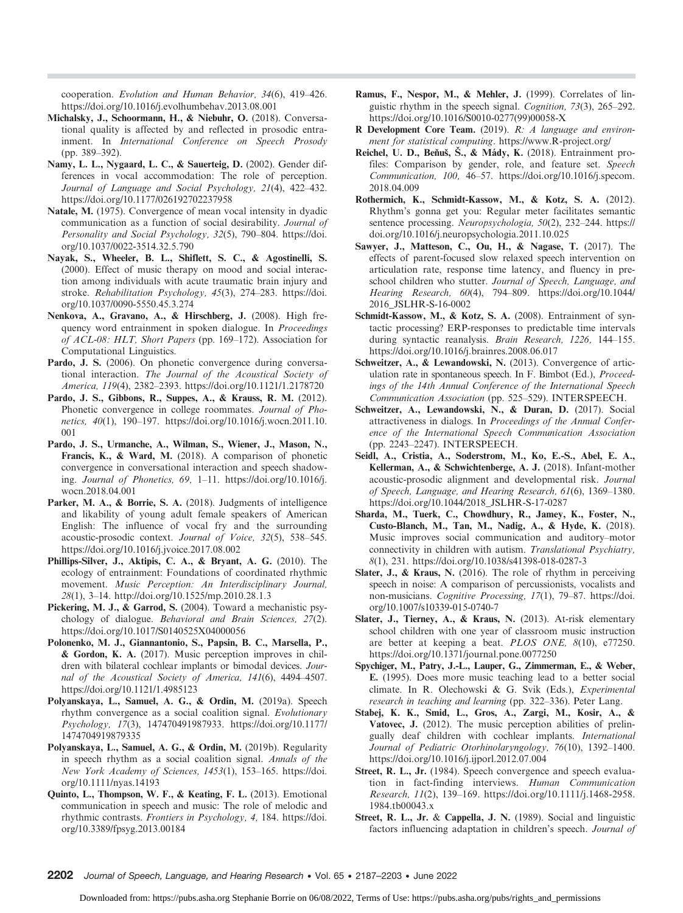cooperation. Evolution and Human Behavior, 34(6), 419–426. <https://doi.org/10.1016/j.evolhumbehav.2013.08.001>

- Michalsky, J., Schoormann, H., & Niebuhr, O. (2018). Conversational quality is affected by and reflected in prosodic entrainment. In International Conference on Speech Prosody (pp. 389–392).
- Namy, L. L., Nygaard, L. C., & Sauerteig, D. (2002). Gender differences in vocal accommodation: The role of perception. Journal of Language and Social Psychology, 21(4), 422–432. <https://doi.org/10.1177/026192702237958>
- Natale, M. (1975). Convergence of mean vocal intensity in dyadic communication as a function of social desirability. Journal of Personality and Social Psychology, 32(5), 790–804. [https://doi.](https://doi.org/10.1037/0022-3514.32.5.790) [org/10.1037/0022-3514.32.5.790](https://doi.org/10.1037/0022-3514.32.5.790)
- Nayak, S., Wheeler, B. L., Shiflett, S. C., & Agostinelli, S. (2000). Effect of music therapy on mood and social interaction among individuals with acute traumatic brain injury and stroke. Rehabilitation Psychology, 45(3), 274–283. [https://doi.](https://doi.org/10.1037/0090-5550.45.3.274) [org/10.1037/0090-5550.45.3.274](https://doi.org/10.1037/0090-5550.45.3.274)
- Nenkova, A., Gravano, A., & Hirschberg, J. (2008). High frequency word entrainment in spoken dialogue. In Proceedings of ACL-08: HLT, Short Papers (pp. 169–172). Association for Computational Linguistics.
- Pardo, J. S. (2006). On phonetic convergence during conversational interaction. The Journal of the Acoustical Society of America, 119(4), 2382–2393.<https://doi.org/10.1121/1.2178720>
- Pardo, J. S., Gibbons, R., Suppes, A., & Krauss, R. M. (2012). Phonetic convergence in college roommates. Journal of Phonetics, 40(1), 190–197. [https://doi.org/10.1016/j.wocn.2011.10.](https://doi.org/10.1016/j.wocn.2011.10.001) [001](https://doi.org/10.1016/j.wocn.2011.10.001)
- Pardo, J. S., Urmanche, A., Wilman, S., Wiener, J., Mason, N., Francis, K., & Ward, M. (2018). A comparison of phonetic convergence in conversational interaction and speech shadowing. Journal of Phonetics, 69, 1–11. [https://doi.org/10.1016/j.](https://doi.org/10.1016/j.wocn.2018.04.001) [wocn.2018.04.001](https://doi.org/10.1016/j.wocn.2018.04.001)
- Parker, M. A., & Borrie, S. A. (2018). Judgments of intelligence and likability of young adult female speakers of American English: The influence of vocal fry and the surrounding acoustic-prosodic context. Journal of Voice, 32(5), 538–545. <https://doi.org/10.1016/j.jvoice.2017.08.002>
- Phillips-Silver, J., Aktipis, C. A., & Bryant, A. G. (2010). The ecology of entrainment: Foundations of coordinated rhythmic movement. Music Perception: An Interdisciplinary Journal, 28(1), 3–14.<http://doi.org/10.1525/mp.2010.28.1.3>
- Pickering, M. J., & Garrod, S. (2004). Toward a mechanistic psychology of dialogue. Behavioral and Brain Sciences, 27(2). <https://doi.org/10.1017/S0140525X04000056>
- Polonenko, M. J., Giannantonio, S., Papsin, B. C., Marsella, P., & Gordon, K. A. (2017). Music perception improves in children with bilateral cochlear implants or bimodal devices. Journal of the Acoustical Society of America, 141(6), 4494–4507. <https://doi.org/10.1121/1.4985123>
- Polyanskaya, L., Samuel, A. G., & Ordin, M. (2019a). Speech rhythm convergence as a social coalition signal. Evolutionary Psychology, 17(3), 147470491987933. [https://doi.org/10.1177/](https://doi.org/10.1177/1474704919879335) [1474704919879335](https://doi.org/10.1177/1474704919879335)
- Polyanskaya, L., Samuel, A. G., & Ordin, M. (2019b). Regularity in speech rhythm as a social coalition signal. Annals of the New York Academy of Sciences, 1453(1), 153–165. [https://doi.](https://doi.org/10.1111/nyas.14193) [org/10.1111/nyas.14193](https://doi.org/10.1111/nyas.14193)
- Quinto, L., Thompson, W. F., & Keating, F. L. (2013). Emotional communication in speech and music: The role of melodic and rhythmic contrasts. Frontiers in Psychology, 4, 184. [https://doi.](https://doi.org/10.3389/fpsyg.2013.00184) [org/10.3389/fpsyg.2013.00184](https://doi.org/10.3389/fpsyg.2013.00184)
- Ramus, F., Nespor, M., & Mehler, J. (1999). Correlates of linguistic rhythm in the speech signal. Cognition, 73(3), 265–292. [https://doi.org/10.1016/S0010-0277\(99\)00058-X](https://doi.org/10.1016/S0010-0277(99)00058-X)
- R Development Core Team. (2019). R: A language and environment for statistical computing.<https://www.R-project.org/>
- Reichel, U. D., Beňuš, Š., & Mády, K. (2018). Entrainment profiles: Comparison by gender, role, and feature set. Speech Communication, 100, 46–57. [https://doi.org/10.1016/j.specom.](https://doi.org/10.1016/j.specom.2018.04.009) [2018.04.009](https://doi.org/10.1016/j.specom.2018.04.009)
- Rothermich, K., Schmidt-Kassow, M., & Kotz, S. A. (2012). Rhythm's gonna get you: Regular meter facilitates semantic sentence processing. Neuropsychologia, 50(2), 232–244. [https://](https://doi.org/10.1016/j.neuropsychologia.2011.10.025) [doi.org/10.1016/j.neuropsychologia.2011.10.025](https://doi.org/10.1016/j.neuropsychologia.2011.10.025)
- Sawyer, J., Matteson, C., Ou, H., & Nagase, T. (2017). The effects of parent-focused slow relaxed speech intervention on articulation rate, response time latency, and fluency in preschool children who stutter. Journal of Speech, Language, and Hearing Research, 60(4), 794–809. [https://doi.org/10.1044/](https://doi.org/10.1044/2016_JSLHR-S-16-0002) [2016\\_JSLHR-S-16-0002](https://doi.org/10.1044/2016_JSLHR-S-16-0002)
- Schmidt-Kassow, M., & Kotz, S. A. (2008). Entrainment of syntactic processing? ERP-responses to predictable time intervals during syntactic reanalysis. Brain Research, 1226, 144–155. <https://doi.org/10.1016/j.brainres.2008.06.017>
- Schweitzer, A., & Lewandowski, N. (2013). Convergence of articulation rate in spontaneous speech. In F. Bimbot (Ed.), Proceedings of the 14th Annual Conference of the International Speech Communication Association (pp. 525–529). INTERSPEECH.
- Schweitzer, A., Lewandowski, N., & Duran, D. (2017). Social attractiveness in dialogs. In Proceedings of the Annual Conference of the International Speech Communication Association (pp. 2243–2247). INTERSPEECH.
- Seidl, A., Cristia, A., Soderstrom, M., Ko, E.-S., Abel, E. A., Kellerman, A., & Schwichtenberge, A. J. (2018). Infant-mother acoustic-prosodic alignment and developmental risk. Journal of Speech, Language, and Hearing Research, 61(6), 1369–1380. [https://doi.org/10.1044/2018\\_JSLHR-S-17-0287](https://doi.org/10.1044/2018_JSLHR-S-17-0287)
- Sharda, M., Tuerk, C., Chowdhury, R., Jamey, K., Foster, N., Custo-Blanch, M., Tan, M., Nadig, A., & Hyde, K. (2018). Music improves social communication and auditory–motor connectivity in children with autism. Translational Psychiatry, 8(1), 231.<https://doi.org/10.1038/s41398-018-0287-3>
- Slater, J., & Kraus, N. (2016). The role of rhythm in perceiving speech in noise: A comparison of percussionists, vocalists and non-musicians. Cognitive Processing, 17(1), 79–87. [https://doi.](https://doi.org/10.1007/s10339-015-0740-7) [org/10.1007/s10339-015-0740-7](https://doi.org/10.1007/s10339-015-0740-7)
- Slater, J., Tierney, A., & Kraus, N. (2013). At-risk elementary school children with one year of classroom music instruction are better at keeping a beat. PLOS ONE, 8(10), e77250. <https://doi.org/10.1371/journal.pone.0077250>
- Spychiger, M., Patry, J.-L., Lauper, G., Zimmerman, E., & Weber, E. (1995). Does more music teaching lead to a better social climate. In R. Olechowski & G. Svik (Eds.), Experimental research in teaching and learning (pp. 322–336). Peter Lang.
- Stabej, K. K., Smid, L., Gros, A., Zargi, M., Kosir, A., & Vatovec, J. (2012). The music perception abilities of prelingually deaf children with cochlear implants. International Journal of Pediatric Otorhinolaryngology, 76(10), 1392–1400. <https://doi.org/10.1016/j.ijporl.2012.07.004>
- Street, R. L., Jr. (1984). Speech convergence and speech evaluation in fact-finding interviews. Human Communication Research, 11(2), 139–169. [https://doi.org/10.1111/j.1468-2958.](https://doi.org/10.1111/j.1468-2958.1984.tb00043.x) [1984.tb00043.x](https://doi.org/10.1111/j.1468-2958.1984.tb00043.x)
- Street, R. L., Jr. & Cappella, J. N. (1989). Social and linguistic factors influencing adaptation in children's speech. Journal of